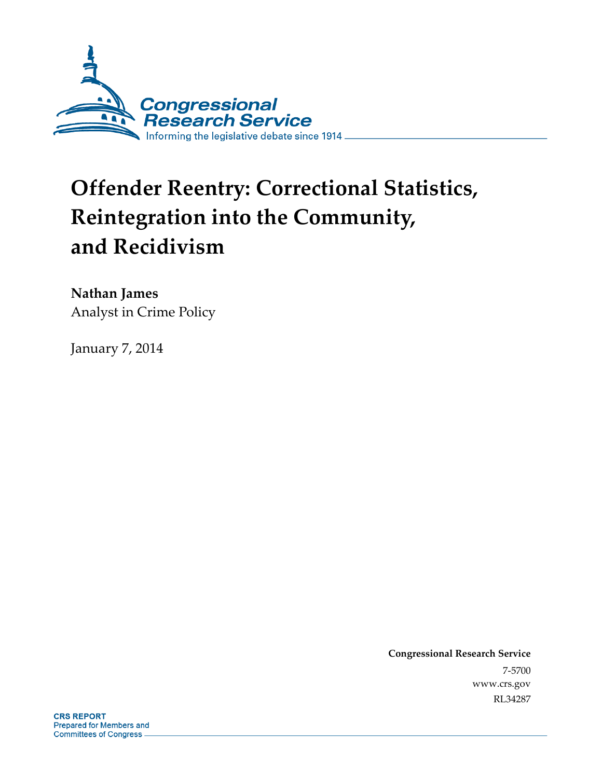

# **Offender Reentry: Correctional Statistics, Reintegration into the Community, and Recidivism**

**Nathan James**  Analyst in Crime Policy

January 7, 2014

**Congressional Research Service**  7-5700 www.crs.gov RL34287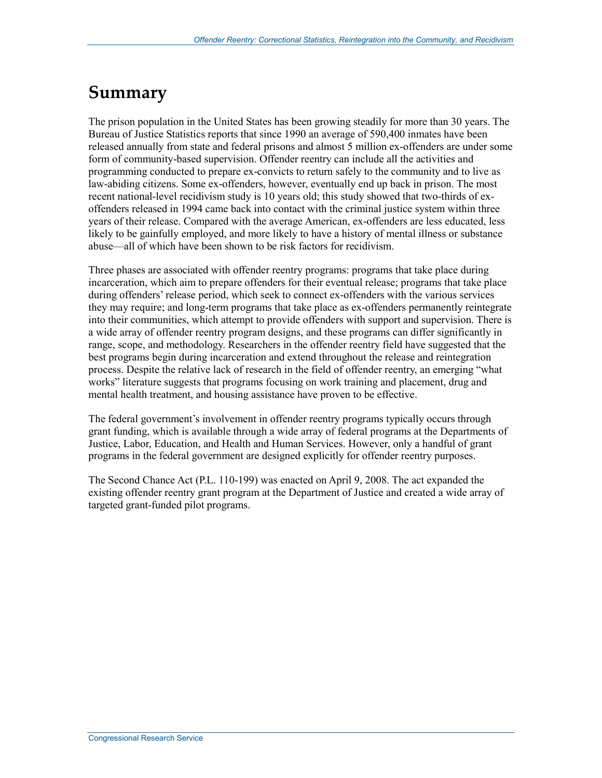## **Summary**

The prison population in the United States has been growing steadily for more than 30 years. The Bureau of Justice Statistics reports that since 1990 an average of 590,400 inmates have been released annually from state and federal prisons and almost 5 million ex-offenders are under some form of community-based supervision. Offender reentry can include all the activities and programming conducted to prepare ex-convicts to return safely to the community and to live as law-abiding citizens. Some ex-offenders, however, eventually end up back in prison. The most recent national-level recidivism study is 10 years old; this study showed that two-thirds of exoffenders released in 1994 came back into contact with the criminal justice system within three years of their release. Compared with the average American, ex-offenders are less educated, less likely to be gainfully employed, and more likely to have a history of mental illness or substance abuse—all of which have been shown to be risk factors for recidivism.

Three phases are associated with offender reentry programs: programs that take place during incarceration, which aim to prepare offenders for their eventual release; programs that take place during offenders' release period, which seek to connect ex-offenders with the various services they may require; and long-term programs that take place as ex-offenders permanently reintegrate into their communities, which attempt to provide offenders with support and supervision. There is a wide array of offender reentry program designs, and these programs can differ significantly in range, scope, and methodology. Researchers in the offender reentry field have suggested that the best programs begin during incarceration and extend throughout the release and reintegration process. Despite the relative lack of research in the field of offender reentry, an emerging "what works" literature suggests that programs focusing on work training and placement, drug and mental health treatment, and housing assistance have proven to be effective.

The federal government's involvement in offender reentry programs typically occurs through grant funding, which is available through a wide array of federal programs at the Departments of Justice, Labor, Education, and Health and Human Services. However, only a handful of grant programs in the federal government are designed explicitly for offender reentry purposes.

The Second Chance Act (P.L. 110-199) was enacted on April 9, 2008. The act expanded the existing offender reentry grant program at the Department of Justice and created a wide array of targeted grant-funded pilot programs.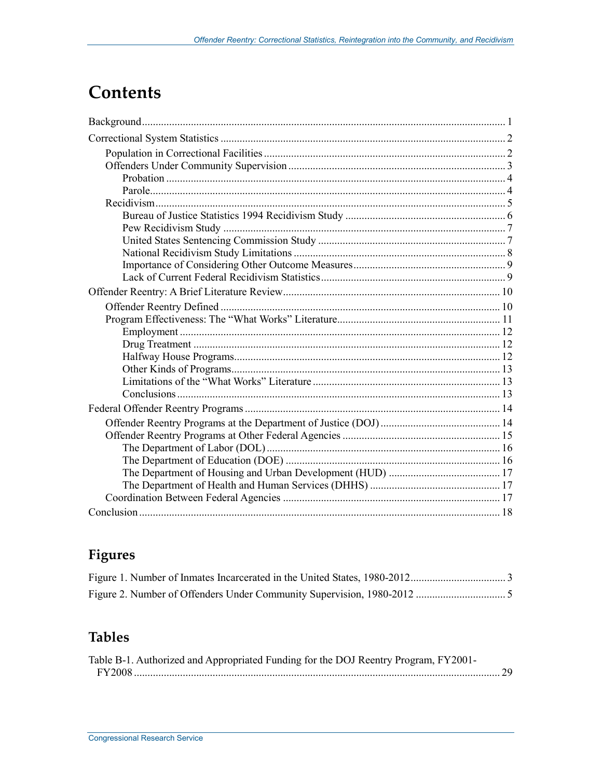## **Contents**

## Figures

### **Tables**

| Table B-1. Authorized and Appropriated Funding for the DOJ Reentry Program, FY2001- |  |
|-------------------------------------------------------------------------------------|--|
|                                                                                     |  |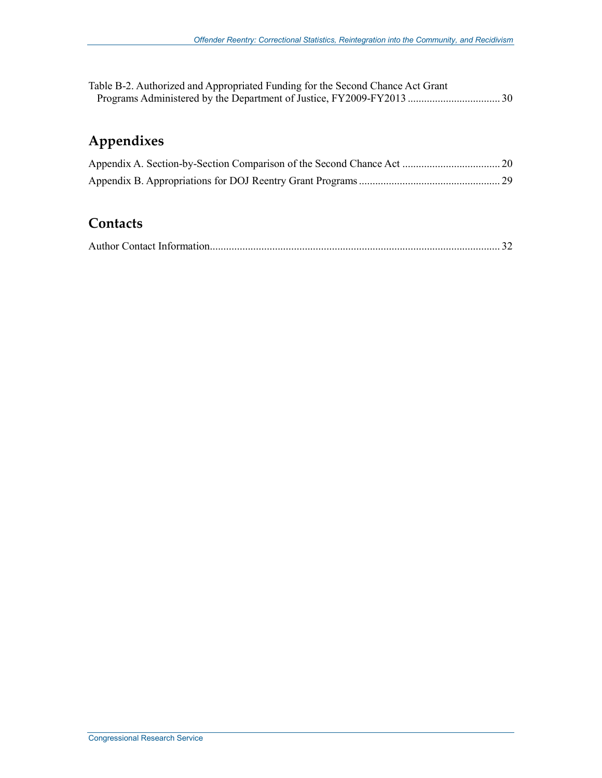| Table B-2. Authorized and Appropriated Funding for the Second Chance Act Grant |  |
|--------------------------------------------------------------------------------|--|
|                                                                                |  |

## **Appendixes**

### **Contacts**

|--|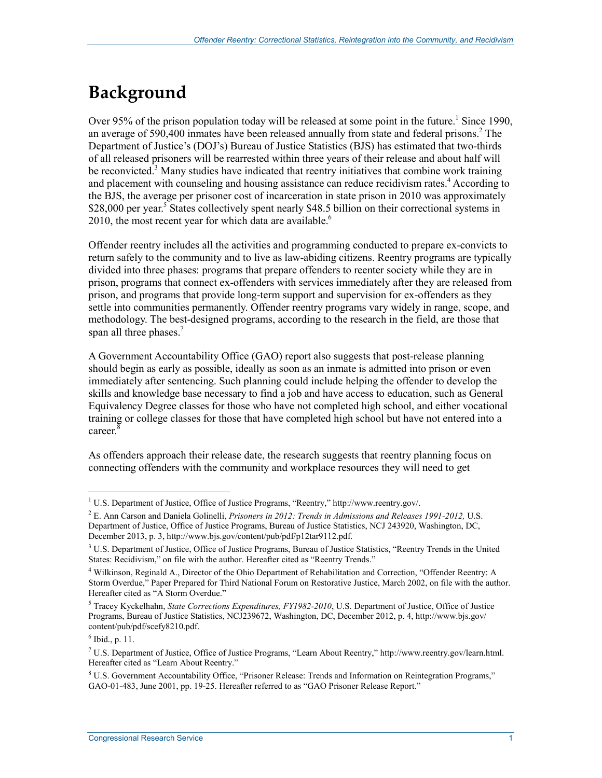## **Background**

Over 95% of the prison population today will be released at some point in the future.<sup>1</sup> Since 1990, an average of 590,400 inmates have been released annually from state and federal prisons.<sup>2</sup> The Department of Justice's (DOJ's) Bureau of Justice Statistics (BJS) has estimated that two-thirds of all released prisoners will be rearrested within three years of their release and about half will be reconvicted.<sup>3</sup> Many studies have indicated that reentry initiatives that combine work training and placement with counseling and housing assistance can reduce recidivism rates.<sup>4</sup> According to the BJS, the average per prisoner cost of incarceration in state prison in 2010 was approximately \$28,000 per year.<sup>5</sup> States collectively spent nearly \$48.5 billion on their correctional systems in 2010, the most recent year for which data are available.<sup>6</sup>

Offender reentry includes all the activities and programming conducted to prepare ex-convicts to return safely to the community and to live as law-abiding citizens. Reentry programs are typically divided into three phases: programs that prepare offenders to reenter society while they are in prison, programs that connect ex-offenders with services immediately after they are released from prison, and programs that provide long-term support and supervision for ex-offenders as they settle into communities permanently. Offender reentry programs vary widely in range, scope, and methodology. The best-designed programs, according to the research in the field, are those that span all three phases.<sup>7</sup>

A Government Accountability Office (GAO) report also suggests that post-release planning should begin as early as possible, ideally as soon as an inmate is admitted into prison or even immediately after sentencing. Such planning could include helping the offender to develop the skills and knowledge base necessary to find a job and have access to education, such as General Equivalency Degree classes for those who have not completed high school, and either vocational training or college classes for those that have completed high school but have not entered into a career.<sup>8</sup>

As offenders approach their release date, the research suggests that reentry planning focus on connecting offenders with the community and workplace resources they will need to get

 1 U.S. Department of Justice, Office of Justice Programs, "Reentry," http://www.reentry.gov/.

<sup>2</sup> E. Ann Carson and Daniela Golinelli, *Prisoners in 2012: Trends in Admissions and Releases 1991-2012,* U.S. Department of Justice, Office of Justice Programs, Bureau of Justice Statistics, NCJ 243920, Washington, DC, December 2013, p. 3, http://www.bjs.gov/content/pub/pdf/p12tar9112.pdf.

<sup>&</sup>lt;sup>3</sup> U.S. Department of Justice, Office of Justice Programs, Bureau of Justice Statistics, "Reentry Trends in the United States: Recidivism," on file with the author. Hereafter cited as "Reentry Trends."

<sup>4</sup> Wilkinson, Reginald A., Director of the Ohio Department of Rehabilitation and Correction, "Offender Reentry: A Storm Overdue," Paper Prepared for Third National Forum on Restorative Justice, March 2002, on file with the author. Hereafter cited as "A Storm Overdue."

<sup>5</sup> Tracey Kyckelhahn, *State Corrections Expenditures, FY1982-2010*, U.S. Department of Justice, Office of Justice Programs, Bureau of Justice Statistics, NCJ239672, Washington, DC, December 2012, p. 4, http://www.bjs.gov/ content/pub/pdf/scefy8210.pdf.

<sup>6</sup> Ibid., p. 11.

<sup>7</sup> U.S. Department of Justice, Office of Justice Programs, "Learn About Reentry," http://www.reentry.gov/learn.html. Hereafter cited as "Learn About Reentry."

<sup>&</sup>lt;sup>8</sup> U.S. Government Accountability Office, "Prisoner Release: Trends and Information on Reintegration Programs," GAO-01-483, June 2001, pp. 19-25. Hereafter referred to as "GAO Prisoner Release Report."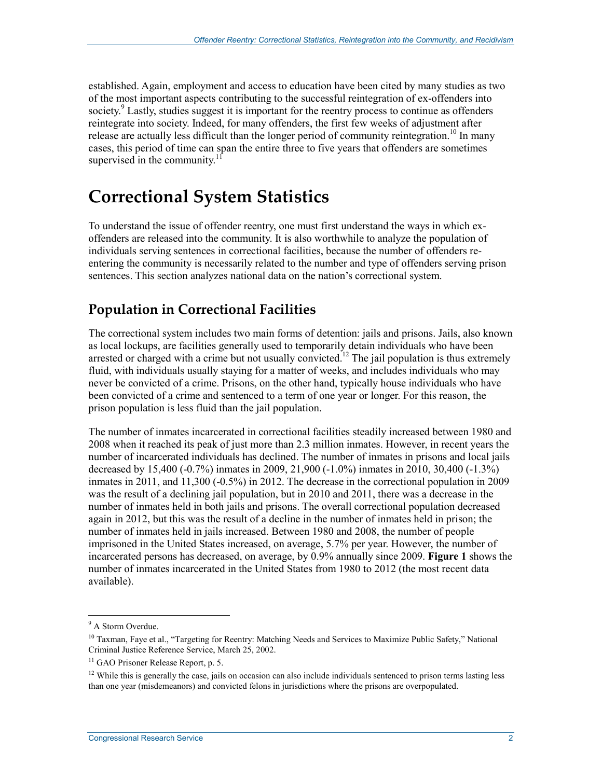established. Again, employment and access to education have been cited by many studies as two of the most important aspects contributing to the successful reintegration of ex-offenders into society.<sup>9</sup> Lastly, studies suggest it is important for the reentry process to continue as offenders reintegrate into society. Indeed, for many offenders, the first few weeks of adjustment after release are actually less difficult than the longer period of community reintegration.<sup>10</sup> In many cases, this period of time can span the entire three to five years that offenders are sometimes supervised in the community. $11$ 

## **Correctional System Statistics**

To understand the issue of offender reentry, one must first understand the ways in which exoffenders are released into the community. It is also worthwhile to analyze the population of individuals serving sentences in correctional facilities, because the number of offenders reentering the community is necessarily related to the number and type of offenders serving prison sentences. This section analyzes national data on the nation's correctional system.

### **Population in Correctional Facilities**

The correctional system includes two main forms of detention: jails and prisons. Jails, also known as local lockups, are facilities generally used to temporarily detain individuals who have been arrested or charged with a crime but not usually convicted.<sup>12</sup> The jail population is thus extremely fluid, with individuals usually staying for a matter of weeks, and includes individuals who may never be convicted of a crime. Prisons, on the other hand, typically house individuals who have been convicted of a crime and sentenced to a term of one year or longer. For this reason, the prison population is less fluid than the jail population.

The number of inmates incarcerated in correctional facilities steadily increased between 1980 and 2008 when it reached its peak of just more than 2.3 million inmates. However, in recent years the number of incarcerated individuals has declined. The number of inmates in prisons and local jails decreased by 15,400 (-0.7%) inmates in 2009, 21,900 (-1.0%) inmates in 2010, 30,400 (-1.3%) inmates in 2011, and 11,300 (-0.5%) in 2012. The decrease in the correctional population in 2009 was the result of a declining jail population, but in 2010 and 2011, there was a decrease in the number of inmates held in both jails and prisons. The overall correctional population decreased again in 2012, but this was the result of a decline in the number of inmates held in prison; the number of inmates held in jails increased. Between 1980 and 2008, the number of people imprisoned in the United States increased, on average, 5.7% per year. However, the number of incarcerated persons has decreased, on average, by 0.9% annually since 2009. **Figure 1** shows the number of inmates incarcerated in the United States from 1980 to 2012 (the most recent data available).

<sup>&</sup>lt;sup>9</sup> A Storm Overdue.

<sup>&</sup>lt;sup>10</sup> Taxman, Faye et al., "Targeting for Reentry: Matching Needs and Services to Maximize Public Safety," National Criminal Justice Reference Service, March 25, 2002.

<sup>&</sup>lt;sup>11</sup> GAO Prisoner Release Report, p. 5.

 $12$  While this is generally the case, jails on occasion can also include individuals sentenced to prison terms lasting less than one year (misdemeanors) and convicted felons in jurisdictions where the prisons are overpopulated.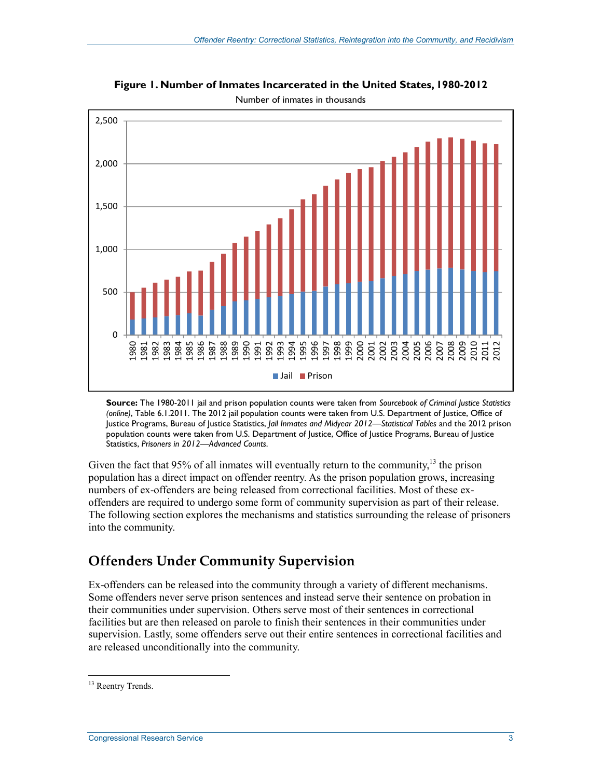

**Figure 1. Number of Inmates Incarcerated in the United States, 1980-2012** 

Number of inmates in thousands

**Source:** The 1980-2011 jail and prison population counts were taken from *Sourcebook of Criminal Justice Statistics (online)*, Table 6.1.2011. The 2012 jail population counts were taken from U.S. Department of Justice, Office of Justice Programs, Bureau of Justice Statistics, *Jail Inmates and Midyear 2012—Statistical Tables* and the 2012 prison population counts were taken from U.S. Department of Justice, Office of Justice Programs, Bureau of Justice Statistics, *Prisoners in 2012—Advanced Counts*.

Given the fact that 95% of all inmates will eventually return to the community,  $13$  the prison population has a direct impact on offender reentry. As the prison population grows, increasing numbers of ex-offenders are being released from correctional facilities. Most of these exoffenders are required to undergo some form of community supervision as part of their release. The following section explores the mechanisms and statistics surrounding the release of prisoners into the community.

### **Offenders Under Community Supervision**

Ex-offenders can be released into the community through a variety of different mechanisms. Some offenders never serve prison sentences and instead serve their sentence on probation in their communities under supervision. Others serve most of their sentences in correctional facilities but are then released on parole to finish their sentences in their communities under supervision. Lastly, some offenders serve out their entire sentences in correctional facilities and are released unconditionally into the community.

<sup>&</sup>lt;u>.</u> <sup>13</sup> Reentry Trends.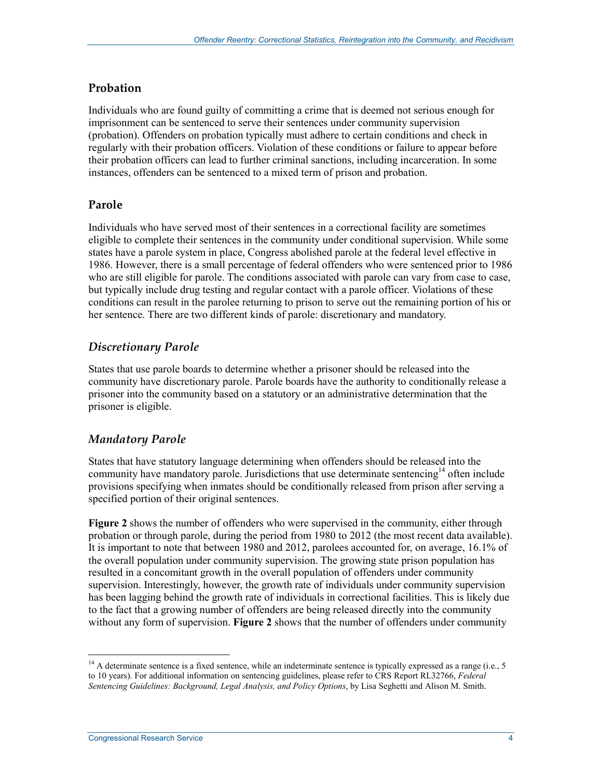#### **Probation**

Individuals who are found guilty of committing a crime that is deemed not serious enough for imprisonment can be sentenced to serve their sentences under community supervision (probation). Offenders on probation typically must adhere to certain conditions and check in regularly with their probation officers. Violation of these conditions or failure to appear before their probation officers can lead to further criminal sanctions, including incarceration. In some instances, offenders can be sentenced to a mixed term of prison and probation.

#### **Parole**

Individuals who have served most of their sentences in a correctional facility are sometimes eligible to complete their sentences in the community under conditional supervision. While some states have a parole system in place, Congress abolished parole at the federal level effective in 1986. However, there is a small percentage of federal offenders who were sentenced prior to 1986 who are still eligible for parole. The conditions associated with parole can vary from case to case, but typically include drug testing and regular contact with a parole officer. Violations of these conditions can result in the parolee returning to prison to serve out the remaining portion of his or her sentence. There are two different kinds of parole: discretionary and mandatory.

#### *Discretionary Parole*

States that use parole boards to determine whether a prisoner should be released into the community have discretionary parole. Parole boards have the authority to conditionally release a prisoner into the community based on a statutory or an administrative determination that the prisoner is eligible.

#### *Mandatory Parole*

States that have statutory language determining when offenders should be released into the community have mandatory parole. Jurisdictions that use determinate sentencing<sup>14</sup> often include provisions specifying when inmates should be conditionally released from prison after serving a specified portion of their original sentences.

**Figure 2** shows the number of offenders who were supervised in the community, either through probation or through parole, during the period from 1980 to 2012 (the most recent data available). It is important to note that between 1980 and 2012, parolees accounted for, on average, 16.1% of the overall population under community supervision. The growing state prison population has resulted in a concomitant growth in the overall population of offenders under community supervision. Interestingly, however, the growth rate of individuals under community supervision has been lagging behind the growth rate of individuals in correctional facilities. This is likely due to the fact that a growing number of offenders are being released directly into the community without any form of supervision. **Figure 2** shows that the number of offenders under community

 $14$  A determinate sentence is a fixed sentence, while an indeterminate sentence is typically expressed as a range (i.e., 5 to 10 years). For additional information on sentencing guidelines, please refer to CRS Report RL32766, *Federal Sentencing Guidelines: Background, Legal Analysis, and Policy Options*, by Lisa Seghetti and Alison M. Smith.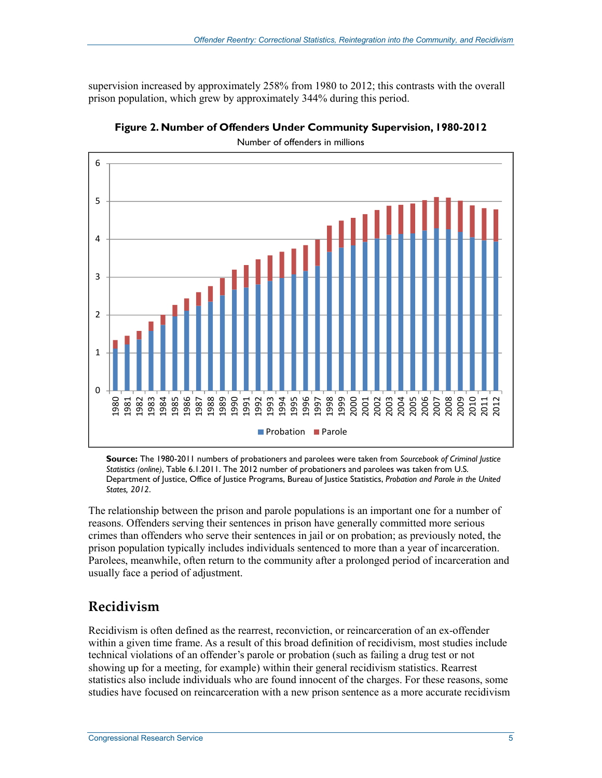supervision increased by approximately 258% from 1980 to 2012; this contrasts with the overall prison population, which grew by approximately 344% during this period.



**Figure 2. Number of Offenders Under Community Supervision, 1980-2012** 

Number of offenders in millions

**Source:** The 1980-2011 numbers of probationers and parolees were taken from *Sourcebook of Criminal Justice Statistics (online)*, Table 6.1.2011. The 2012 number of probationers and parolees was taken from U.S. Department of Justice, Office of Justice Programs, Bureau of Justice Statistics, *Probation and Parole in the United States, 2012*.

The relationship between the prison and parole populations is an important one for a number of reasons. Offenders serving their sentences in prison have generally committed more serious crimes than offenders who serve their sentences in jail or on probation; as previously noted, the prison population typically includes individuals sentenced to more than a year of incarceration. Parolees, meanwhile, often return to the community after a prolonged period of incarceration and usually face a period of adjustment.

#### **Recidivism**

Recidivism is often defined as the rearrest, reconviction, or reincarceration of an ex-offender within a given time frame. As a result of this broad definition of recidivism, most studies include technical violations of an offender's parole or probation (such as failing a drug test or not showing up for a meeting, for example) within their general recidivism statistics. Rearrest statistics also include individuals who are found innocent of the charges. For these reasons, some studies have focused on reincarceration with a new prison sentence as a more accurate recidivism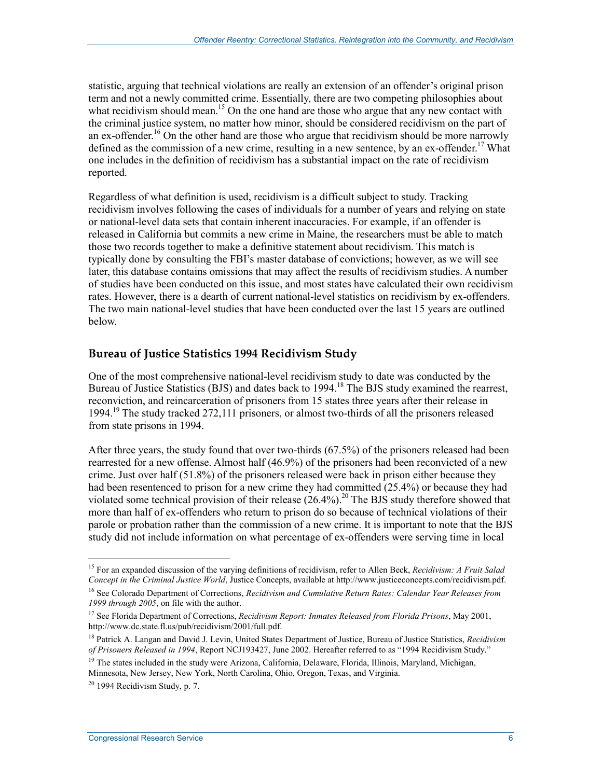statistic, arguing that technical violations are really an extension of an offender's original prison term and not a newly committed crime. Essentially, there are two competing philosophies about what recidivism should mean.<sup>15</sup> On the one hand are those who argue that any new contact with the criminal justice system, no matter how minor, should be considered recidivism on the part of an ex-offender.<sup>16</sup> On the other hand are those who argue that recidivism should be more narrowly defined as the commission of a new crime, resulting in a new sentence, by an ex-offender.<sup>17</sup> What one includes in the definition of recidivism has a substantial impact on the rate of recidivism reported.

Regardless of what definition is used, recidivism is a difficult subject to study. Tracking recidivism involves following the cases of individuals for a number of years and relying on state or national-level data sets that contain inherent inaccuracies. For example, if an offender is released in California but commits a new crime in Maine, the researchers must be able to match those two records together to make a definitive statement about recidivism. This match is typically done by consulting the FBI's master database of convictions; however, as we will see later, this database contains omissions that may affect the results of recidivism studies. A number of studies have been conducted on this issue, and most states have calculated their own recidivism rates. However, there is a dearth of current national-level statistics on recidivism by ex-offenders. The two main national-level studies that have been conducted over the last 15 years are outlined below.

#### **Bureau of Justice Statistics 1994 Recidivism Study**

One of the most comprehensive national-level recidivism study to date was conducted by the Bureau of Justice Statistics (BJS) and dates back to 1994.<sup>18</sup> The BJS study examined the rearrest, reconviction, and reincarceration of prisoners from 15 states three years after their release in 1994.19 The study tracked 272,111 prisoners, or almost two-thirds of all the prisoners released from state prisons in 1994.

After three years, the study found that over two-thirds (67.5%) of the prisoners released had been rearrested for a new offense. Almost half (46.9%) of the prisoners had been reconvicted of a new crime. Just over half  $(51.8\%)$  of the prisoners released were back in prison either because they had been resentenced to prison for a new crime they had committed (25.4%) or because they had violated some technical provision of their release  $(26.4\%)$ <sup>20</sup> The BJS study therefore showed that more than half of ex-offenders who return to prison do so because of technical violations of their parole or probation rather than the commission of a new crime. It is important to note that the BJS study did not include information on what percentage of ex-offenders were serving time in local

<sup>&</sup>lt;u>.</u> 15 For an expanded discussion of the varying definitions of recidivism, refer to Allen Beck, *Recidivism: A Fruit Salad Concept in the Criminal Justice World*, Justice Concepts, available at http://www.justiceconcepts.com/recidivism.pdf.

<sup>16</sup> See Colorado Department of Corrections, *Recidivism and Cumulative Return Rates: Calendar Year Releases from 1999 through 2005*, on file with the author.

<sup>17</sup> See Florida Department of Corrections, *Recidivism Report: Inmates Released from Florida Prisons*, May 2001, http://www.dc.state.fl.us/pub/recidivism/2001/full.pdf.

<sup>18</sup> Patrick A. Langan and David J. Levin, United States Department of Justice, Bureau of Justice Statistics, *Recidivism of Prisoners Released in 1994*, Report NCJ193427, June 2002. Hereafter referred to as "1994 Recidivism Study."

<sup>&</sup>lt;sup>19</sup> The states included in the study were Arizona, California, Delaware, Florida, Illinois, Maryland, Michigan, Minnesota, New Jersey, New York, North Carolina, Ohio, Oregon, Texas, and Virginia.

 $20$  1994 Recidivism Study, p. 7.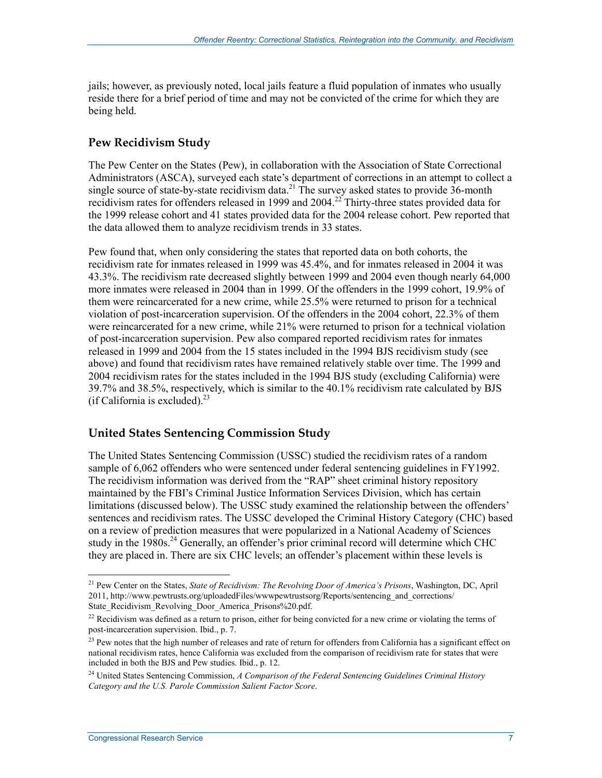jails; however, as previously noted, local jails feature a fluid population of inmates who usually reside there for a brief period of time and may not be convicted of the crime for which they are being held.

#### **Pew Recidivism Study**

The Pew Center on the States (Pew), in collaboration with the Association of State Correctional Administrators (ASCA), surveyed each state's department of corrections in an attempt to collect a single source of state-by-state recidivism data.<sup>21</sup> The survey asked states to provide 36-month recidivism rates for offenders released in 1999 and 2004.<sup>22</sup> Thirty-three states provided data for the 1999 release cohort and 41 states provided data for the 2004 release cohort. Pew reported that the data allowed them to analyze recidivism trends in 33 states.

Pew found that, when only considering the states that reported data on both cohorts, the recidivism rate for inmates released in 1999 was 45.4%, and for inmates released in 2004 it was 43.3%. The recidivism rate decreased slightly between 1999 and 2004 even though nearly 64,000 more inmates were released in 2004 than in 1999. Of the offenders in the 1999 cohort, 19.9% of them were reincarcerated for a new crime, while 25.5% were returned to prison for a technical violation of post-incarceration supervision. Of the offenders in the 2004 cohort, 22.3% of them were reincarcerated for a new crime, while 21% were returned to prison for a technical violation of post-incarceration supervision. Pew also compared reported recidivism rates for inmates released in 1999 and 2004 from the 15 states included in the 1994 BJS recidivism study (see above) and found that recidivism rates have remained relatively stable over time. The 1999 and 2004 recidivism rates for the states included in the 1994 BJS study (excluding California) were 39.7% and 38.5%, respectively, which is similar to the 40.1% recidivism rate calculated by BJS (if California is excluded). $^{23}$ 

#### **United States Sentencing Commission Study**

The United States Sentencing Commission (USSC) studied the recidivism rates of a random sample of 6,062 offenders who were sentenced under federal sentencing guidelines in FY1992. The recidivism information was derived from the "RAP" sheet criminal history repository maintained by the FBI's Criminal Justice Information Services Division, which has certain limitations (discussed below). The USSC study examined the relationship between the offenders' sentences and recidivism rates. The USSC developed the Criminal History Category (CHC) based on a review of prediction measures that were popularized in a National Academy of Sciences study in the  $1980s$ .<sup>24</sup> Generally, an offender's prior criminal record will determine which CHC they are placed in. There are six CHC levels; an offender's placement within these levels is

<sup>21</sup> Pew Center on the States, *State of Recidivism: The Revolving Door of America's Prisons*, Washington, DC, April 2011, http://www.pewtrusts.org/uploadedFiles/wwwpewtrustsorg/Reports/sentencing\_and\_corrections/ State\_Recidivism\_Revolving\_Door\_America\_Prisons%20.pdf.

<sup>&</sup>lt;sup>22</sup> Recidivism was defined as a return to prison, either for being convicted for a new crime or violating the terms of post-incarceration supervision. Ibid., p. 7.

<sup>&</sup>lt;sup>23</sup> Pew notes that the high number of releases and rate of return for offenders from California has a significant effect on national recidivism rates, hence California was excluded from the comparison of recidivism rate for states that were included in both the BJS and Pew studies. Ibid., p. 12.

<sup>24</sup> United States Sentencing Commission, *A Comparison of the Federal Sentencing Guidelines Criminal History Category and the U.S. Parole Commission Salient Factor Score*.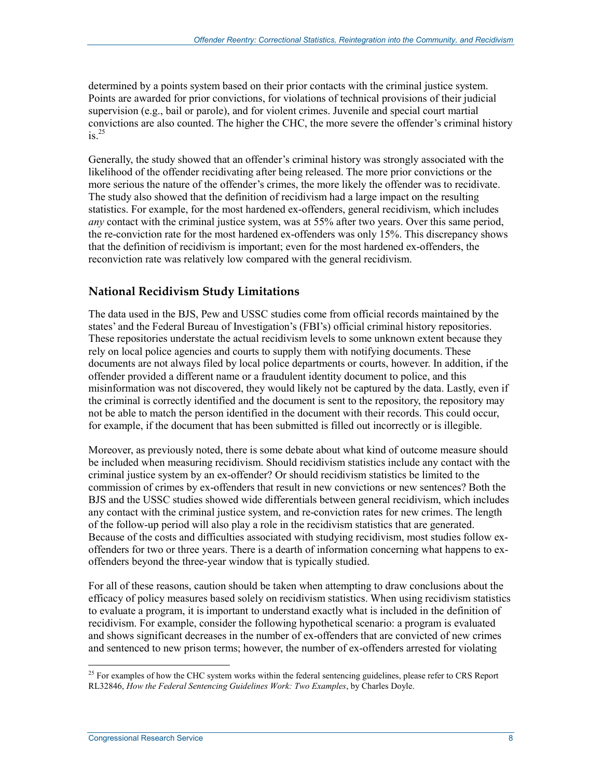determined by a points system based on their prior contacts with the criminal justice system. Points are awarded for prior convictions, for violations of technical provisions of their judicial supervision (e.g., bail or parole), and for violent crimes. Juvenile and special court martial convictions are also counted. The higher the CHC, the more severe the offender's criminal history  $is^2$ 

Generally, the study showed that an offender's criminal history was strongly associated with the likelihood of the offender recidivating after being released. The more prior convictions or the more serious the nature of the offender's crimes, the more likely the offender was to recidivate. The study also showed that the definition of recidivism had a large impact on the resulting statistics. For example, for the most hardened ex-offenders, general recidivism, which includes *any* contact with the criminal justice system, was at 55% after two years. Over this same period, the re-conviction rate for the most hardened ex-offenders was only 15%. This discrepancy shows that the definition of recidivism is important; even for the most hardened ex-offenders, the reconviction rate was relatively low compared with the general recidivism.

#### **National Recidivism Study Limitations**

The data used in the BJS, Pew and USSC studies come from official records maintained by the states' and the Federal Bureau of Investigation's (FBI's) official criminal history repositories. These repositories understate the actual recidivism levels to some unknown extent because they rely on local police agencies and courts to supply them with notifying documents. These documents are not always filed by local police departments or courts, however. In addition, if the offender provided a different name or a fraudulent identity document to police, and this misinformation was not discovered, they would likely not be captured by the data. Lastly, even if the criminal is correctly identified and the document is sent to the repository, the repository may not be able to match the person identified in the document with their records. This could occur, for example, if the document that has been submitted is filled out incorrectly or is illegible.

Moreover, as previously noted, there is some debate about what kind of outcome measure should be included when measuring recidivism. Should recidivism statistics include any contact with the criminal justice system by an ex-offender? Or should recidivism statistics be limited to the commission of crimes by ex-offenders that result in new convictions or new sentences? Both the BJS and the USSC studies showed wide differentials between general recidivism, which includes any contact with the criminal justice system, and re-conviction rates for new crimes. The length of the follow-up period will also play a role in the recidivism statistics that are generated. Because of the costs and difficulties associated with studying recidivism, most studies follow exoffenders for two or three years. There is a dearth of information concerning what happens to exoffenders beyond the three-year window that is typically studied.

For all of these reasons, caution should be taken when attempting to draw conclusions about the efficacy of policy measures based solely on recidivism statistics. When using recidivism statistics to evaluate a program, it is important to understand exactly what is included in the definition of recidivism. For example, consider the following hypothetical scenario: a program is evaluated and shows significant decreases in the number of ex-offenders that are convicted of new crimes and sentenced to new prison terms; however, the number of ex-offenders arrested for violating

<sup>1</sup>  $^{25}$  For examples of how the CHC system works within the federal sentencing guidelines, please refer to CRS Report RL32846, *How the Federal Sentencing Guidelines Work: Two Examples*, by Charles Doyle.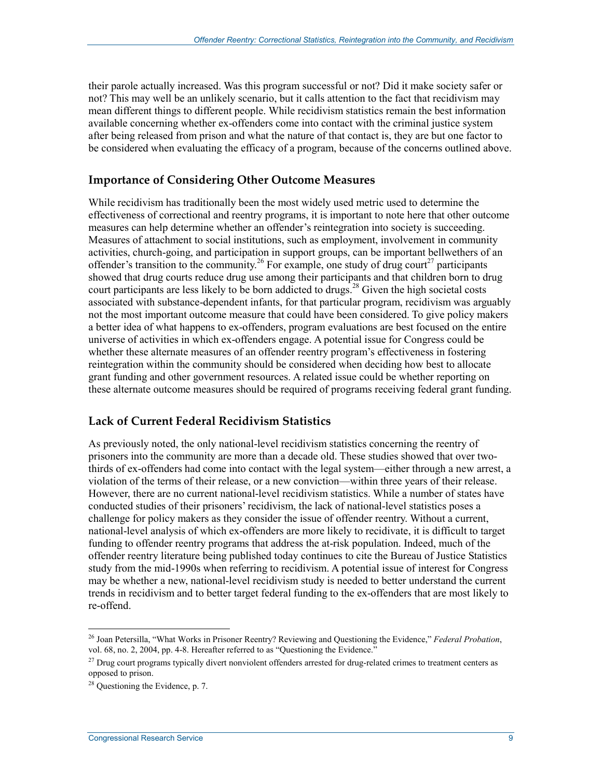their parole actually increased. Was this program successful or not? Did it make society safer or not? This may well be an unlikely scenario, but it calls attention to the fact that recidivism may mean different things to different people. While recidivism statistics remain the best information available concerning whether ex-offenders come into contact with the criminal justice system after being released from prison and what the nature of that contact is, they are but one factor to be considered when evaluating the efficacy of a program, because of the concerns outlined above.

#### **Importance of Considering Other Outcome Measures**

While recidivism has traditionally been the most widely used metric used to determine the effectiveness of correctional and reentry programs, it is important to note here that other outcome measures can help determine whether an offender's reintegration into society is succeeding. Measures of attachment to social institutions, such as employment, involvement in community activities, church-going, and participation in support groups, can be important bellwethers of an offender's transition to the community.<sup>26</sup> For example, one study of drug court<sup>27</sup> participants showed that drug courts reduce drug use among their participants and that children born to drug court participants are less likely to be born addicted to drugs.<sup>28</sup> Given the high societal costs associated with substance-dependent infants, for that particular program, recidivism was arguably not the most important outcome measure that could have been considered. To give policy makers a better idea of what happens to ex-offenders, program evaluations are best focused on the entire universe of activities in which ex-offenders engage. A potential issue for Congress could be whether these alternate measures of an offender reentry program's effectiveness in fostering reintegration within the community should be considered when deciding how best to allocate grant funding and other government resources. A related issue could be whether reporting on these alternate outcome measures should be required of programs receiving federal grant funding.

#### **Lack of Current Federal Recidivism Statistics**

As previously noted, the only national-level recidivism statistics concerning the reentry of prisoners into the community are more than a decade old. These studies showed that over twothirds of ex-offenders had come into contact with the legal system—either through a new arrest, a violation of the terms of their release, or a new conviction—within three years of their release. However, there are no current national-level recidivism statistics. While a number of states have conducted studies of their prisoners' recidivism, the lack of national-level statistics poses a challenge for policy makers as they consider the issue of offender reentry. Without a current, national-level analysis of which ex-offenders are more likely to recidivate, it is difficult to target funding to offender reentry programs that address the at-risk population. Indeed, much of the offender reentry literature being published today continues to cite the Bureau of Justice Statistics study from the mid-1990s when referring to recidivism. A potential issue of interest for Congress may be whether a new, national-level recidivism study is needed to better understand the current trends in recidivism and to better target federal funding to the ex-offenders that are most likely to re-offend.

<sup>1</sup> 26 Joan Petersilla, "What Works in Prisoner Reentry? Reviewing and Questioning the Evidence," *Federal Probation*, vol. 68, no. 2, 2004, pp. 4-8. Hereafter referred to as "Questioning the Evidence."

<sup>&</sup>lt;sup>27</sup> Drug court programs typically divert nonviolent offenders arrested for drug-related crimes to treatment centers as opposed to prison.

<sup>&</sup>lt;sup>28</sup> Questioning the Evidence, p. 7.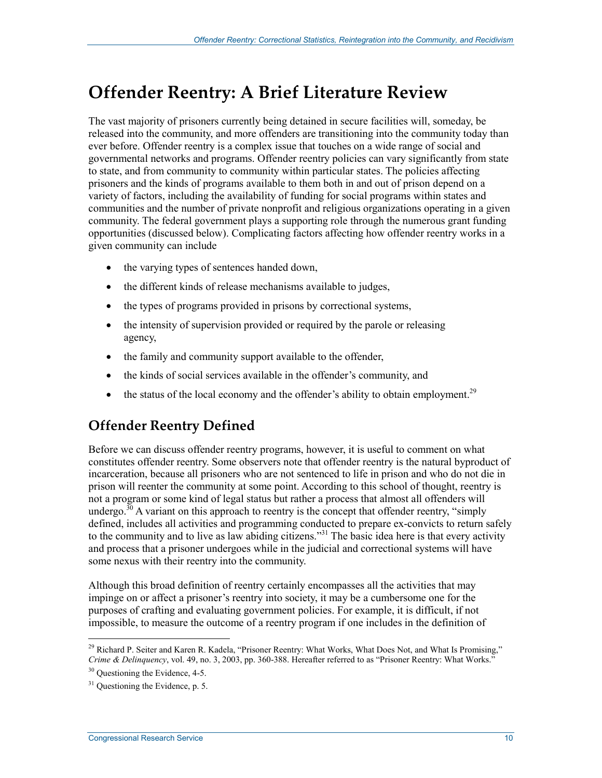## **Offender Reentry: A Brief Literature Review**

The vast majority of prisoners currently being detained in secure facilities will, someday, be released into the community, and more offenders are transitioning into the community today than ever before. Offender reentry is a complex issue that touches on a wide range of social and governmental networks and programs. Offender reentry policies can vary significantly from state to state, and from community to community within particular states. The policies affecting prisoners and the kinds of programs available to them both in and out of prison depend on a variety of factors, including the availability of funding for social programs within states and communities and the number of private nonprofit and religious organizations operating in a given community. The federal government plays a supporting role through the numerous grant funding opportunities (discussed below). Complicating factors affecting how offender reentry works in a given community can include

- the varying types of sentences handed down,
- the different kinds of release mechanisms available to judges,
- the types of programs provided in prisons by correctional systems,
- the intensity of supervision provided or required by the parole or releasing agency,
- the family and community support available to the offender,
- the kinds of social services available in the offender's community, and
- the status of the local economy and the offender's ability to obtain employment.<sup>29</sup>

### **Offender Reentry Defined**

Before we can discuss offender reentry programs, however, it is useful to comment on what constitutes offender reentry. Some observers note that offender reentry is the natural byproduct of incarceration, because all prisoners who are not sentenced to life in prison and who do not die in prison will reenter the community at some point. According to this school of thought, reentry is not a program or some kind of legal status but rather a process that almost all offenders will undergo.<sup>30</sup> A variant on this approach to reentry is the concept that offender reentry, "simply defined, includes all activities and programming conducted to prepare ex-convicts to return safely to the community and to live as law abiding citizens.<sup>331</sup> The basic idea here is that every activity and process that a prisoner undergoes while in the judicial and correctional systems will have some nexus with their reentry into the community.

Although this broad definition of reentry certainly encompasses all the activities that may impinge on or affect a prisoner's reentry into society, it may be a cumbersome one for the purposes of crafting and evaluating government policies. For example, it is difficult, if not impossible, to measure the outcome of a reentry program if one includes in the definition of

<sup>&</sup>lt;sup>29</sup> Richard P. Seiter and Karen R. Kadela, "Prisoner Reentry: What Works, What Does Not, and What Is Promising," *Crime & Delinquency*, vol. 49, no. 3, 2003, pp. 360-388. Hereafter referred to as "Prisoner Reentry: What Works."

<sup>&</sup>lt;sup>30</sup> Ouestioning the Evidence, 4-5.

 $31$  Questioning the Evidence, p. 5.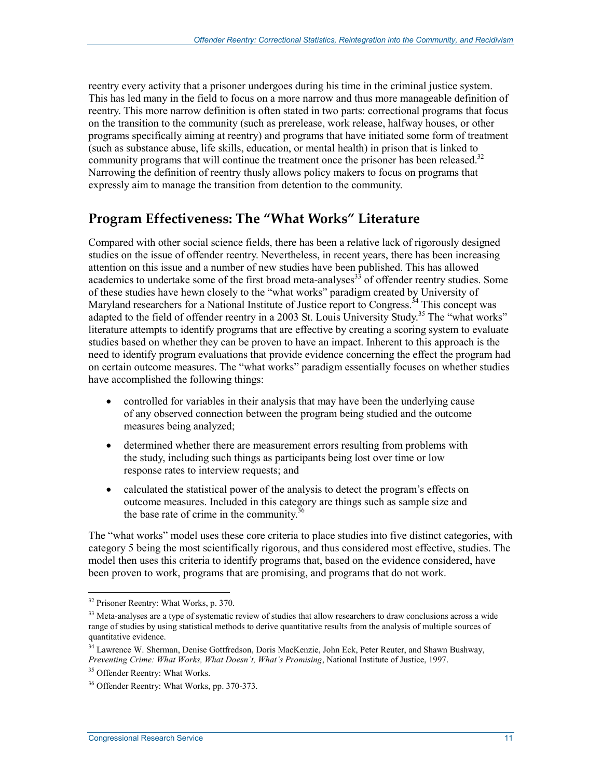reentry every activity that a prisoner undergoes during his time in the criminal justice system. This has led many in the field to focus on a more narrow and thus more manageable definition of reentry. This more narrow definition is often stated in two parts: correctional programs that focus on the transition to the community (such as prerelease, work release, halfway houses, or other programs specifically aiming at reentry) and programs that have initiated some form of treatment (such as substance abuse, life skills, education, or mental health) in prison that is linked to community programs that will continue the treatment once the prisoner has been released.<sup>32</sup> Narrowing the definition of reentry thusly allows policy makers to focus on programs that expressly aim to manage the transition from detention to the community.

#### **Program Effectiveness: The "What Works" Literature**

Compared with other social science fields, there has been a relative lack of rigorously designed studies on the issue of offender reentry. Nevertheless, in recent years, there has been increasing attention on this issue and a number of new studies have been published. This has allowed academics to undertake some of the first broad meta-analyses<sup>33</sup> of offender reentry studies. Some of these studies have hewn closely to the "what works" paradigm created by University of Maryland researchers for a National Institute of Justice report to Congress.<sup>34</sup> This concept was adapted to the field of offender reentry in a 2003 St. Louis University Study.<sup>35</sup> The "what works" literature attempts to identify programs that are effective by creating a scoring system to evaluate studies based on whether they can be proven to have an impact. Inherent to this approach is the need to identify program evaluations that provide evidence concerning the effect the program had on certain outcome measures. The "what works" paradigm essentially focuses on whether studies have accomplished the following things:

- controlled for variables in their analysis that may have been the underlying cause of any observed connection between the program being studied and the outcome measures being analyzed;
- determined whether there are measurement errors resulting from problems with the study, including such things as participants being lost over time or low response rates to interview requests; and
- calculated the statistical power of the analysis to detect the program's effects on outcome measures. Included in this category are things such as sample size and the base rate of crime in the community. $36$

The "what works" model uses these core criteria to place studies into five distinct categories, with category 5 being the most scientifically rigorous, and thus considered most effective, studies. The model then uses this criteria to identify programs that, based on the evidence considered, have been proven to work, programs that are promising, and programs that do not work.

<sup>&</sup>lt;sup>32</sup> Prisoner Reentry: What Works, p. 370.

<sup>&</sup>lt;sup>33</sup> Meta-analyses are a type of systematic review of studies that allow researchers to draw conclusions across a wide range of studies by using statistical methods to derive quantitative results from the analysis of multiple sources of quantitative evidence.

<sup>34</sup> Lawrence W. Sherman, Denise Gottfredson, Doris MacKenzie, John Eck, Peter Reuter, and Shawn Bushway, *Preventing Crime: What Works, What Doesn't, What's Promising*, National Institute of Justice, 1997.

<sup>&</sup>lt;sup>35</sup> Offender Reentry: What Works.

<sup>36</sup> Offender Reentry: What Works, pp. 370-373.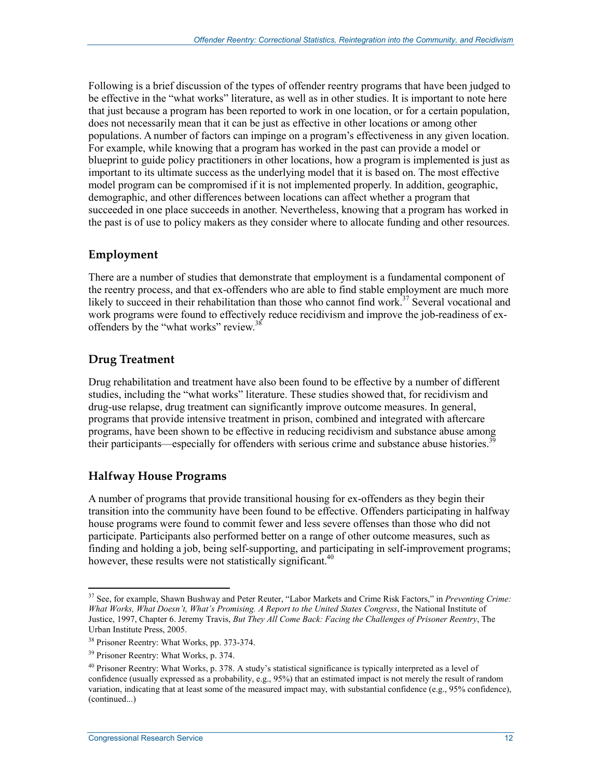Following is a brief discussion of the types of offender reentry programs that have been judged to be effective in the "what works" literature, as well as in other studies. It is important to note here that just because a program has been reported to work in one location, or for a certain population, does not necessarily mean that it can be just as effective in other locations or among other populations. A number of factors can impinge on a program's effectiveness in any given location. For example, while knowing that a program has worked in the past can provide a model or blueprint to guide policy practitioners in other locations, how a program is implemented is just as important to its ultimate success as the underlying model that it is based on. The most effective model program can be compromised if it is not implemented properly. In addition, geographic, demographic, and other differences between locations can affect whether a program that succeeded in one place succeeds in another. Nevertheless, knowing that a program has worked in the past is of use to policy makers as they consider where to allocate funding and other resources.

#### **Employment**

There are a number of studies that demonstrate that employment is a fundamental component of the reentry process, and that ex-offenders who are able to find stable employment are much more likely to succeed in their rehabilitation than those who cannot find work.<sup>37</sup> Several vocational and work programs were found to effectively reduce recidivism and improve the job-readiness of exoffenders by the "what works" review.<sup>38</sup>

#### **Drug Treatment**

Drug rehabilitation and treatment have also been found to be effective by a number of different studies, including the "what works" literature. These studies showed that, for recidivism and drug-use relapse, drug treatment can significantly improve outcome measures. In general, programs that provide intensive treatment in prison, combined and integrated with aftercare programs, have been shown to be effective in reducing recidivism and substance abuse among their participants—especially for offenders with serious crime and substance abuse histories.<sup>39</sup>

#### **Halfway House Programs**

A number of programs that provide transitional housing for ex-offenders as they begin their transition into the community have been found to be effective. Offenders participating in halfway house programs were found to commit fewer and less severe offenses than those who did not participate. Participants also performed better on a range of other outcome measures, such as finding and holding a job, being self-supporting, and participating in self-improvement programs; however, these results were not statistically significant.<sup>40</sup>

<sup>37</sup> See, for example, Shawn Bushway and Peter Reuter, "Labor Markets and Crime Risk Factors," in *Preventing Crime: What Works, What Doesn't, What's Promising. A Report to the United States Congress*, the National Institute of Justice, 1997, Chapter 6. Jeremy Travis, *But They All Come Back: Facing the Challenges of Prisoner Reentry*, The Urban Institute Press, 2005.

<sup>38</sup> Prisoner Reentry: What Works, pp. 373-374.

<sup>39</sup> Prisoner Reentry: What Works, p. 374.

 $40$  Prisoner Reentry: What Works, p. 378. A study's statistical significance is typically interpreted as a level of confidence (usually expressed as a probability, e.g., 95%) that an estimated impact is not merely the result of random variation, indicating that at least some of the measured impact may, with substantial confidence (e.g., 95% confidence), (continued...)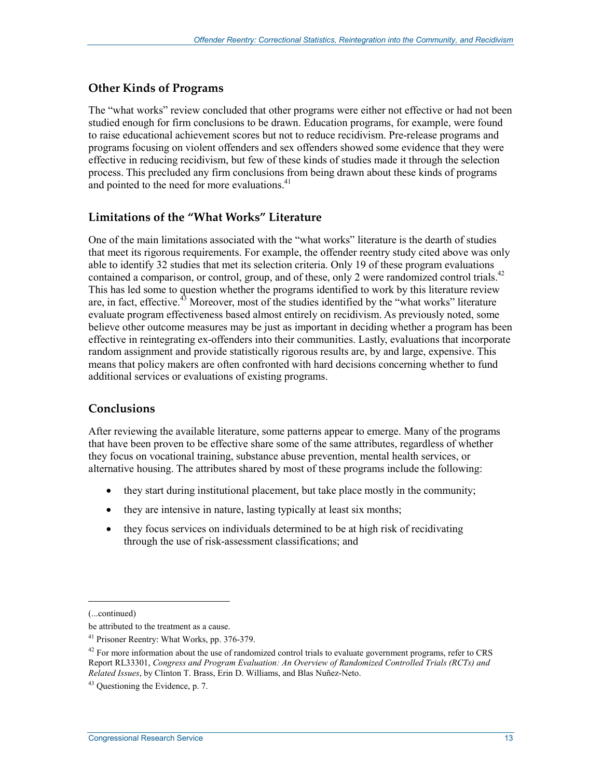#### **Other Kinds of Programs**

The "what works" review concluded that other programs were either not effective or had not been studied enough for firm conclusions to be drawn. Education programs, for example, were found to raise educational achievement scores but not to reduce recidivism. Pre-release programs and programs focusing on violent offenders and sex offenders showed some evidence that they were effective in reducing recidivism, but few of these kinds of studies made it through the selection process. This precluded any firm conclusions from being drawn about these kinds of programs and pointed to the need for more evaluations.<sup>41</sup>

#### **Limitations of the "What Works" Literature**

One of the main limitations associated with the "what works" literature is the dearth of studies that meet its rigorous requirements. For example, the offender reentry study cited above was only able to identify 32 studies that met its selection criteria. Only 19 of these program evaluations contained a comparison, or control, group, and of these, only 2 were randomized control trials.<sup>42</sup> This has led some to question whether the programs identified to work by this literature review are, in fact, effective.<sup>43</sup> Moreover, most of the studies identified by the "what works" literature evaluate program effectiveness based almost entirely on recidivism. As previously noted, some believe other outcome measures may be just as important in deciding whether a program has been effective in reintegrating ex-offenders into their communities. Lastly, evaluations that incorporate random assignment and provide statistically rigorous results are, by and large, expensive. This means that policy makers are often confronted with hard decisions concerning whether to fund additional services or evaluations of existing programs.

#### **Conclusions**

After reviewing the available literature, some patterns appear to emerge. Many of the programs that have been proven to be effective share some of the same attributes, regardless of whether they focus on vocational training, substance abuse prevention, mental health services, or alternative housing. The attributes shared by most of these programs include the following:

- they start during institutional placement, but take place mostly in the community;
- they are intensive in nature, lasting typically at least six months;
- they focus services on individuals determined to be at high risk of recidivating through the use of risk-assessment classifications; and

<sup>(...</sup>continued)

be attributed to the treatment as a cause.

<sup>41</sup> Prisoner Reentry: What Works, pp. 376-379.

<sup>&</sup>lt;sup>42</sup> For more information about the use of randomized control trials to evaluate government programs, refer to CRS Report RL33301, *Congress and Program Evaluation: An Overview of Randomized Controlled Trials (RCTs) and Related Issues*, by Clinton T. Brass, Erin D. Williams, and Blas Nuñez-Neto.

 $43$  Questioning the Evidence, p. 7.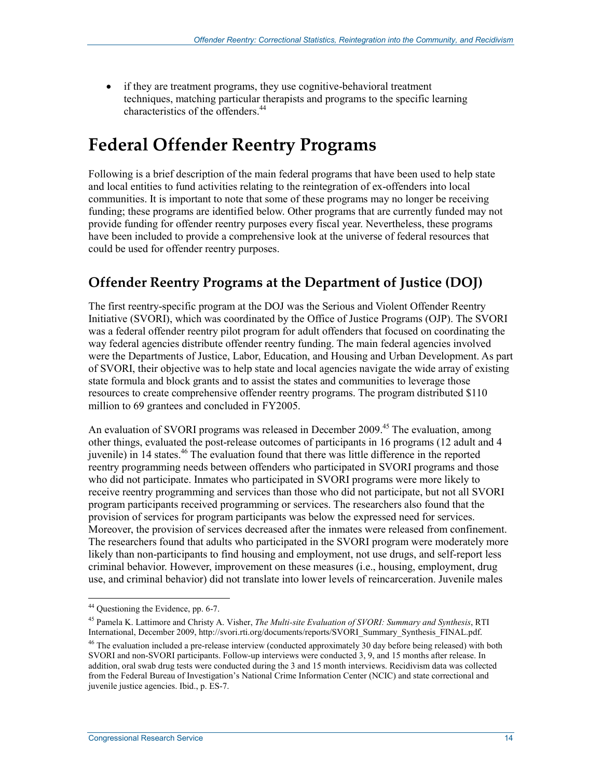• if they are treatment programs, they use cognitive-behavioral treatment techniques, matching particular therapists and programs to the specific learning characteristics of the offenders.44

## **Federal Offender Reentry Programs**

Following is a brief description of the main federal programs that have been used to help state and local entities to fund activities relating to the reintegration of ex-offenders into local communities. It is important to note that some of these programs may no longer be receiving funding; these programs are identified below. Other programs that are currently funded may not provide funding for offender reentry purposes every fiscal year. Nevertheless, these programs have been included to provide a comprehensive look at the universe of federal resources that could be used for offender reentry purposes.

#### **Offender Reentry Programs at the Department of Justice (DOJ)**

The first reentry-specific program at the DOJ was the Serious and Violent Offender Reentry Initiative (SVORI), which was coordinated by the Office of Justice Programs (OJP). The SVORI was a federal offender reentry pilot program for adult offenders that focused on coordinating the way federal agencies distribute offender reentry funding. The main federal agencies involved were the Departments of Justice, Labor, Education, and Housing and Urban Development. As part of SVORI, their objective was to help state and local agencies navigate the wide array of existing state formula and block grants and to assist the states and communities to leverage those resources to create comprehensive offender reentry programs. The program distributed \$110 million to 69 grantees and concluded in FY2005.

An evaluation of SVORI programs was released in December 2009.<sup>45</sup> The evaluation, among other things, evaluated the post-release outcomes of participants in 16 programs (12 adult and 4 juvenile) in 14 states.<sup>46</sup> The evaluation found that there was little difference in the reported reentry programming needs between offenders who participated in SVORI programs and those who did not participate. Inmates who participated in SVORI programs were more likely to receive reentry programming and services than those who did not participate, but not all SVORI program participants received programming or services. The researchers also found that the provision of services for program participants was below the expressed need for services. Moreover, the provision of services decreased after the inmates were released from confinement. The researchers found that adults who participated in the SVORI program were moderately more likely than non-participants to find housing and employment, not use drugs, and self-report less criminal behavior. However, improvement on these measures (i.e., housing, employment, drug use, and criminal behavior) did not translate into lower levels of reincarceration. Juvenile males

<sup>&</sup>lt;sup>44</sup> Questioning the Evidence, pp. 6-7.

<sup>45</sup> Pamela K. Lattimore and Christy A. Visher, *The Multi-site Evaluation of SVORI: Summary and Synthesis*, RTI International, December 2009, http://svori.rti.org/documents/reports/SVORI\_Summary\_Synthesis\_FINAL.pdf.

<sup>&</sup>lt;sup>46</sup> The evaluation included a pre-release interview (conducted approximately 30 day before being released) with both SVORI and non-SVORI participants. Follow-up interviews were conducted 3, 9, and 15 months after release. In addition, oral swab drug tests were conducted during the 3 and 15 month interviews. Recidivism data was collected from the Federal Bureau of Investigation's National Crime Information Center (NCIC) and state correctional and juvenile justice agencies. Ibid., p. ES-7.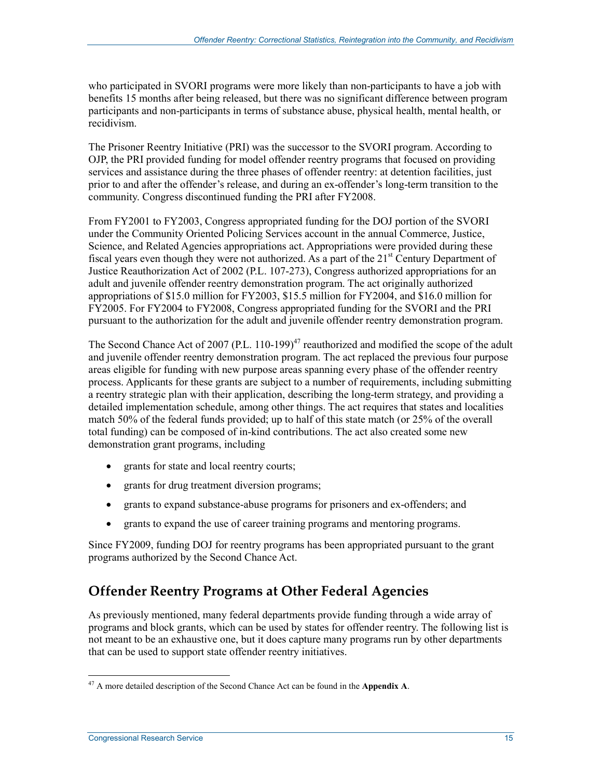who participated in SVORI programs were more likely than non-participants to have a job with benefits 15 months after being released, but there was no significant difference between program participants and non-participants in terms of substance abuse, physical health, mental health, or recidivism.

The Prisoner Reentry Initiative (PRI) was the successor to the SVORI program. According to OJP, the PRI provided funding for model offender reentry programs that focused on providing services and assistance during the three phases of offender reentry: at detention facilities, just prior to and after the offender's release, and during an ex-offender's long-term transition to the community. Congress discontinued funding the PRI after FY2008.

From FY2001 to FY2003, Congress appropriated funding for the DOJ portion of the SVORI under the Community Oriented Policing Services account in the annual Commerce, Justice, Science, and Related Agencies appropriations act. Appropriations were provided during these fiscal years even though they were not authorized. As a part of the  $21<sup>st</sup>$  Century Department of Justice Reauthorization Act of 2002 (P.L. 107-273), Congress authorized appropriations for an adult and juvenile offender reentry demonstration program. The act originally authorized appropriations of \$15.0 million for FY2003, \$15.5 million for FY2004, and \$16.0 million for FY2005. For FY2004 to FY2008, Congress appropriated funding for the SVORI and the PRI pursuant to the authorization for the adult and juvenile offender reentry demonstration program.

The Second Chance Act of 2007 (P.L. 110-199)<sup>47</sup> reauthorized and modified the scope of the adult and juvenile offender reentry demonstration program. The act replaced the previous four purpose areas eligible for funding with new purpose areas spanning every phase of the offender reentry process. Applicants for these grants are subject to a number of requirements, including submitting a reentry strategic plan with their application, describing the long-term strategy, and providing a detailed implementation schedule, among other things. The act requires that states and localities match 50% of the federal funds provided; up to half of this state match (or 25% of the overall total funding) can be composed of in-kind contributions. The act also created some new demonstration grant programs, including

- grants for state and local reentry courts;
- grants for drug treatment diversion programs;
- grants to expand substance-abuse programs for prisoners and ex-offenders; and
- grants to expand the use of career training programs and mentoring programs.

Since FY2009, funding DOJ for reentry programs has been appropriated pursuant to the grant programs authorized by the Second Chance Act.

### **Offender Reentry Programs at Other Federal Agencies**

As previously mentioned, many federal departments provide funding through a wide array of programs and block grants, which can be used by states for offender reentry. The following list is not meant to be an exhaustive one, but it does capture many programs run by other departments that can be used to support state offender reentry initiatives.

<u>.</u>

<sup>47</sup> A more detailed description of the Second Chance Act can be found in the **Appendix A**.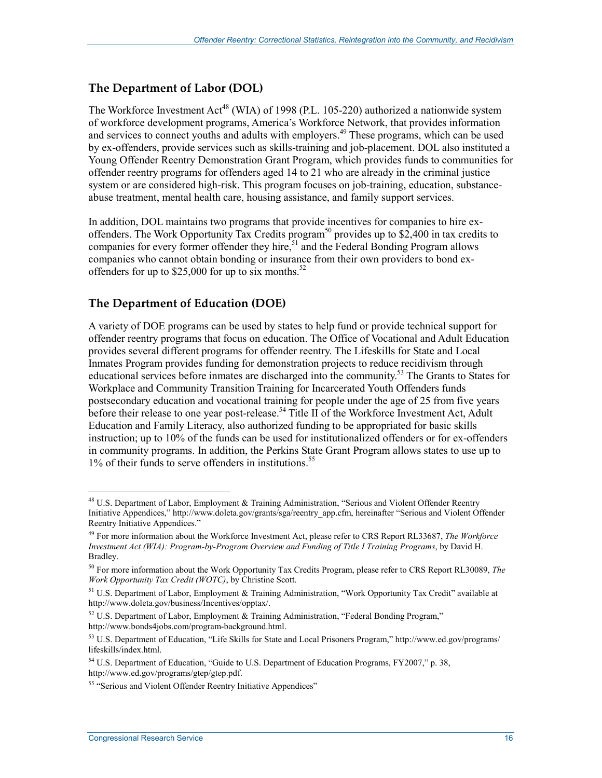#### **The Department of Labor (DOL)**

The Workforce Investment Act<sup>48</sup> (WIA) of 1998 (P.L. 105-220) authorized a nationwide system of workforce development programs, America's Workforce Network, that provides information and services to connect youths and adults with employers.<sup>49</sup> These programs, which can be used by ex-offenders, provide services such as skills-training and job-placement. DOL also instituted a Young Offender Reentry Demonstration Grant Program, which provides funds to communities for offender reentry programs for offenders aged 14 to 21 who are already in the criminal justice system or are considered high-risk. This program focuses on job-training, education, substanceabuse treatment, mental health care, housing assistance, and family support services.

In addition, DOL maintains two programs that provide incentives for companies to hire exoffenders. The Work Opportunity Tax Credits program<sup>50</sup> provides up to \$2,400 in tax credits to companies for every former offender they hire,<sup>51</sup> and the Federal Bonding Program allows companies who cannot obtain bonding or insurance from their own providers to bond exoffenders for up to  $$25,000$  for up to six months.<sup>52</sup>

#### **The Department of Education (DOE)**

A variety of DOE programs can be used by states to help fund or provide technical support for offender reentry programs that focus on education. The Office of Vocational and Adult Education provides several different programs for offender reentry. The Lifeskills for State and Local Inmates Program provides funding for demonstration projects to reduce recidivism through educational services before inmates are discharged into the community.<sup>53</sup> The Grants to States for Workplace and Community Transition Training for Incarcerated Youth Offenders funds postsecondary education and vocational training for people under the age of 25 from five years before their release to one year post-release.<sup>54</sup> Title II of the Workforce Investment Act, Adult Education and Family Literacy, also authorized funding to be appropriated for basic skills instruction; up to 10% of the funds can be used for institutionalized offenders or for ex-offenders in community programs. In addition, the Perkins State Grant Program allows states to use up to 1% of their funds to serve offenders in institutions.<sup>55</sup>

<sup>&</sup>lt;sup>48</sup> U.S. Department of Labor, Employment & Training Administration, "Serious and Violent Offender Reentry Initiative Appendices," http://www.doleta.gov/grants/sga/reentry\_app.cfm, hereinafter "Serious and Violent Offender Reentry Initiative Appendices."

<sup>49</sup> For more information about the Workforce Investment Act, please refer to CRS Report RL33687, *The Workforce Investment Act (WIA): Program-by-Program Overview and Funding of Title I Training Programs*, by David H. Bradley.

<sup>50</sup> For more information about the Work Opportunity Tax Credits Program, please refer to CRS Report RL30089, *The Work Opportunity Tax Credit (WOTC)*, by Christine Scott.

<sup>&</sup>lt;sup>51</sup> U.S. Department of Labor, Employment & Training Administration, "Work Opportunity Tax Credit" available at http://www.doleta.gov/business/Incentives/opptax/.

 $52$  U.S. Department of Labor, Employment & Training Administration, "Federal Bonding Program," http://www.bonds4jobs.com/program-background.html.

<sup>53</sup> U.S. Department of Education, "Life Skills for State and Local Prisoners Program," http://www.ed.gov/programs/ lifeskills/index.html.

<sup>&</sup>lt;sup>54</sup> U.S. Department of Education, "Guide to U.S. Department of Education Programs, FY2007," p. 38, http://www.ed.gov/programs/gtep/gtep.pdf.

<sup>&</sup>lt;sup>55</sup> "Serious and Violent Offender Reentry Initiative Appendices"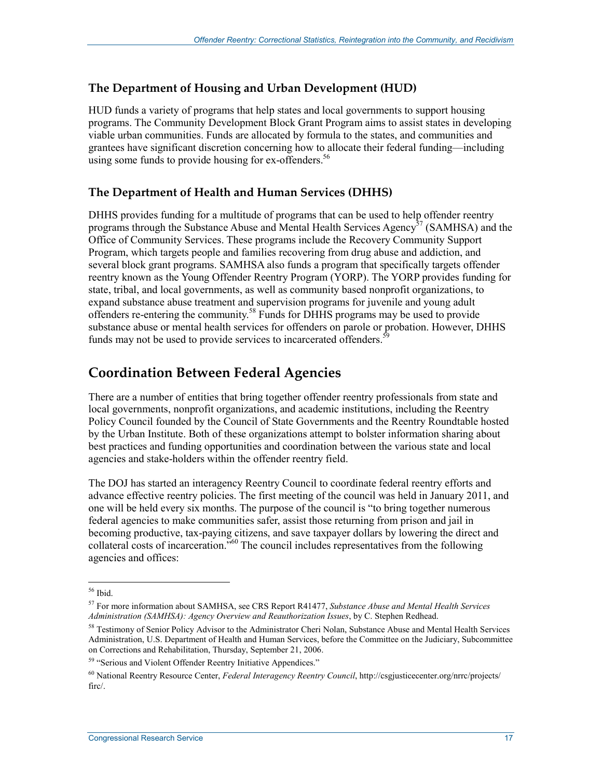#### **The Department of Housing and Urban Development (HUD)**

HUD funds a variety of programs that help states and local governments to support housing programs. The Community Development Block Grant Program aims to assist states in developing viable urban communities. Funds are allocated by formula to the states, and communities and grantees have significant discretion concerning how to allocate their federal funding—including using some funds to provide housing for ex-offenders.<sup>56</sup>

#### **The Department of Health and Human Services (DHHS)**

DHHS provides funding for a multitude of programs that can be used to help offender reentry programs through the Substance Abuse and Mental Health Services Agency<sup>57</sup> (SAMHSA) and the Office of Community Services. These programs include the Recovery Community Support Program, which targets people and families recovering from drug abuse and addiction, and several block grant programs. SAMHSA also funds a program that specifically targets offender reentry known as the Young Offender Reentry Program (YORP). The YORP provides funding for state, tribal, and local governments, as well as community based nonprofit organizations, to expand substance abuse treatment and supervision programs for juvenile and young adult offenders re-entering the community.58 Funds for DHHS programs may be used to provide substance abuse or mental health services for offenders on parole or probation. However, DHHS funds may not be used to provide services to incarcerated offenders.<sup>59</sup>

#### **Coordination Between Federal Agencies**

There are a number of entities that bring together offender reentry professionals from state and local governments, nonprofit organizations, and academic institutions, including the Reentry Policy Council founded by the Council of State Governments and the Reentry Roundtable hosted by the Urban Institute. Both of these organizations attempt to bolster information sharing about best practices and funding opportunities and coordination between the various state and local agencies and stake-holders within the offender reentry field.

The DOJ has started an interagency Reentry Council to coordinate federal reentry efforts and advance effective reentry policies. The first meeting of the council was held in January 2011, and one will be held every six months. The purpose of the council is "to bring together numerous federal agencies to make communities safer, assist those returning from prison and jail in becoming productive, tax-paying citizens, and save taxpayer dollars by lowering the direct and collateral costs of incarceration."60 The council includes representatives from the following agencies and offices:

<sup>56</sup> Ibid.

<sup>57</sup> For more information about SAMHSA, see CRS Report R41477, *Substance Abuse and Mental Health Services Administration (SAMHSA): Agency Overview and Reauthorization Issues*, by C. Stephen Redhead.

<sup>&</sup>lt;sup>58</sup> Testimony of Senior Policy Advisor to the Administrator Cheri Nolan, Substance Abuse and Mental Health Services Administration, U.S. Department of Health and Human Services, before the Committee on the Judiciary, Subcommittee on Corrections and Rehabilitation, Thursday, September 21, 2006.

<sup>&</sup>lt;sup>59</sup> "Serious and Violent Offender Reentry Initiative Appendices."

<sup>60</sup> National Reentry Resource Center, *Federal Interagency Reentry Council*, http://csgjusticecenter.org/nrrc/projects/ firc/.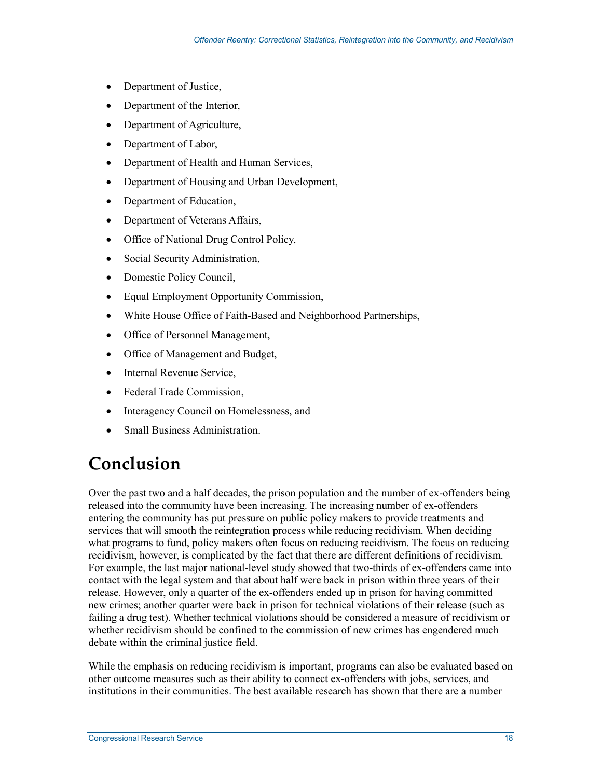- Department of Justice,
- Department of the Interior,
- Department of Agriculture,
- Department of Labor,
- Department of Health and Human Services,
- Department of Housing and Urban Development,
- Department of Education,
- Department of Veterans Affairs,
- Office of National Drug Control Policy,
- Social Security Administration,
- Domestic Policy Council,
- Equal Employment Opportunity Commission,
- White House Office of Faith-Based and Neighborhood Partnerships,
- Office of Personnel Management,
- Office of Management and Budget,
- Internal Revenue Service,
- Federal Trade Commission,
- Interagency Council on Homelessness, and
- Small Business Administration.

## **Conclusion**

Over the past two and a half decades, the prison population and the number of ex-offenders being released into the community have been increasing. The increasing number of ex-offenders entering the community has put pressure on public policy makers to provide treatments and services that will smooth the reintegration process while reducing recidivism. When deciding what programs to fund, policy makers often focus on reducing recidivism. The focus on reducing recidivism, however, is complicated by the fact that there are different definitions of recidivism. For example, the last major national-level study showed that two-thirds of ex-offenders came into contact with the legal system and that about half were back in prison within three years of their release. However, only a quarter of the ex-offenders ended up in prison for having committed new crimes; another quarter were back in prison for technical violations of their release (such as failing a drug test). Whether technical violations should be considered a measure of recidivism or whether recidivism should be confined to the commission of new crimes has engendered much debate within the criminal justice field.

While the emphasis on reducing recidivism is important, programs can also be evaluated based on other outcome measures such as their ability to connect ex-offenders with jobs, services, and institutions in their communities. The best available research has shown that there are a number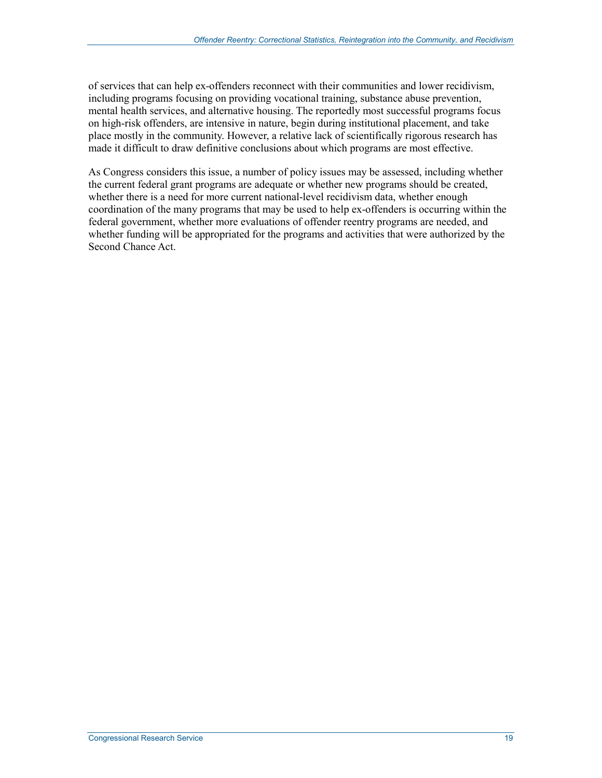of services that can help ex-offenders reconnect with their communities and lower recidivism, including programs focusing on providing vocational training, substance abuse prevention, mental health services, and alternative housing. The reportedly most successful programs focus on high-risk offenders, are intensive in nature, begin during institutional placement, and take place mostly in the community. However, a relative lack of scientifically rigorous research has made it difficult to draw definitive conclusions about which programs are most effective.

As Congress considers this issue, a number of policy issues may be assessed, including whether the current federal grant programs are adequate or whether new programs should be created, whether there is a need for more current national-level recidivism data, whether enough coordination of the many programs that may be used to help ex-offenders is occurring within the federal government, whether more evaluations of offender reentry programs are needed, and whether funding will be appropriated for the programs and activities that were authorized by the Second Chance Act.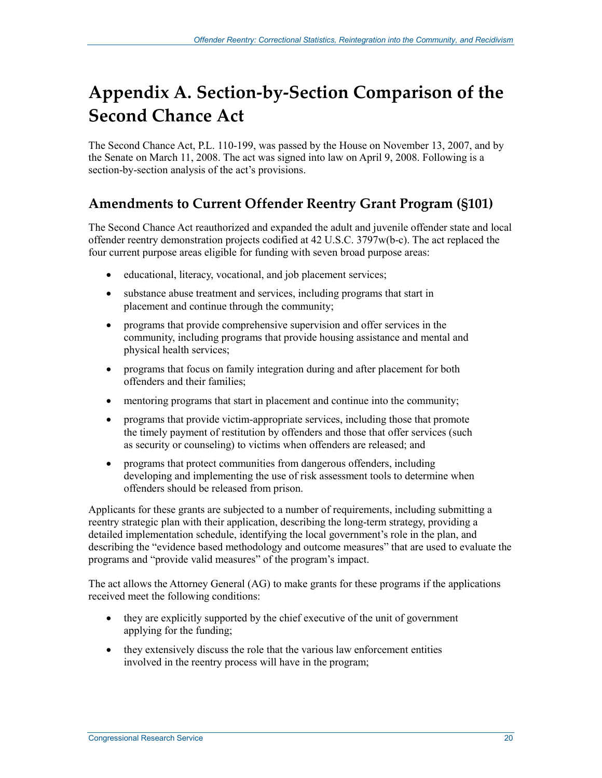## **Appendix A. Section-by-Section Comparison of the Second Chance Act**

The Second Chance Act, P.L. 110-199, was passed by the House on November 13, 2007, and by the Senate on March 11, 2008. The act was signed into law on April 9, 2008. Following is a section-by-section analysis of the act's provisions.

### **Amendments to Current Offender Reentry Grant Program (§101)**

The Second Chance Act reauthorized and expanded the adult and juvenile offender state and local offender reentry demonstration projects codified at 42 U.S.C. 3797w(b-c). The act replaced the four current purpose areas eligible for funding with seven broad purpose areas:

- educational, literacy, vocational, and job placement services;
- substance abuse treatment and services, including programs that start in placement and continue through the community;
- programs that provide comprehensive supervision and offer services in the community, including programs that provide housing assistance and mental and physical health services;
- programs that focus on family integration during and after placement for both offenders and their families;
- mentoring programs that start in placement and continue into the community;
- programs that provide victim-appropriate services, including those that promote the timely payment of restitution by offenders and those that offer services (such as security or counseling) to victims when offenders are released; and
- programs that protect communities from dangerous offenders, including developing and implementing the use of risk assessment tools to determine when offenders should be released from prison.

Applicants for these grants are subjected to a number of requirements, including submitting a reentry strategic plan with their application, describing the long-term strategy, providing a detailed implementation schedule, identifying the local government's role in the plan, and describing the "evidence based methodology and outcome measures" that are used to evaluate the programs and "provide valid measures" of the program's impact.

The act allows the Attorney General (AG) to make grants for these programs if the applications received meet the following conditions:

- they are explicitly supported by the chief executive of the unit of government applying for the funding;
- they extensively discuss the role that the various law enforcement entities involved in the reentry process will have in the program;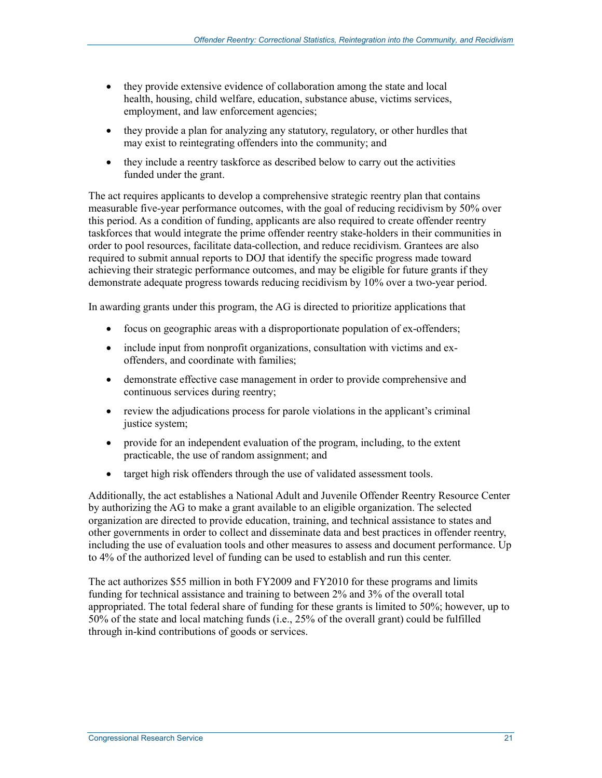- they provide extensive evidence of collaboration among the state and local health, housing, child welfare, education, substance abuse, victims services, employment, and law enforcement agencies;
- they provide a plan for analyzing any statutory, regulatory, or other hurdles that may exist to reintegrating offenders into the community; and
- they include a reentry taskforce as described below to carry out the activities funded under the grant.

The act requires applicants to develop a comprehensive strategic reentry plan that contains measurable five-year performance outcomes, with the goal of reducing recidivism by 50% over this period. As a condition of funding, applicants are also required to create offender reentry taskforces that would integrate the prime offender reentry stake-holders in their communities in order to pool resources, facilitate data-collection, and reduce recidivism. Grantees are also required to submit annual reports to DOJ that identify the specific progress made toward achieving their strategic performance outcomes, and may be eligible for future grants if they demonstrate adequate progress towards reducing recidivism by 10% over a two-year period.

In awarding grants under this program, the AG is directed to prioritize applications that

- focus on geographic areas with a disproportionate population of ex-offenders;
- include input from nonprofit organizations, consultation with victims and exoffenders, and coordinate with families;
- demonstrate effective case management in order to provide comprehensive and continuous services during reentry;
- review the adjudications process for parole violations in the applicant's criminal justice system;
- provide for an independent evaluation of the program, including, to the extent practicable, the use of random assignment; and
- target high risk offenders through the use of validated assessment tools.

Additionally, the act establishes a National Adult and Juvenile Offender Reentry Resource Center by authorizing the AG to make a grant available to an eligible organization. The selected organization are directed to provide education, training, and technical assistance to states and other governments in order to collect and disseminate data and best practices in offender reentry, including the use of evaluation tools and other measures to assess and document performance. Up to 4% of the authorized level of funding can be used to establish and run this center.

The act authorizes \$55 million in both FY2009 and FY2010 for these programs and limits funding for technical assistance and training to between 2% and 3% of the overall total appropriated. The total federal share of funding for these grants is limited to 50%; however, up to 50% of the state and local matching funds (i.e., 25% of the overall grant) could be fulfilled through in-kind contributions of goods or services.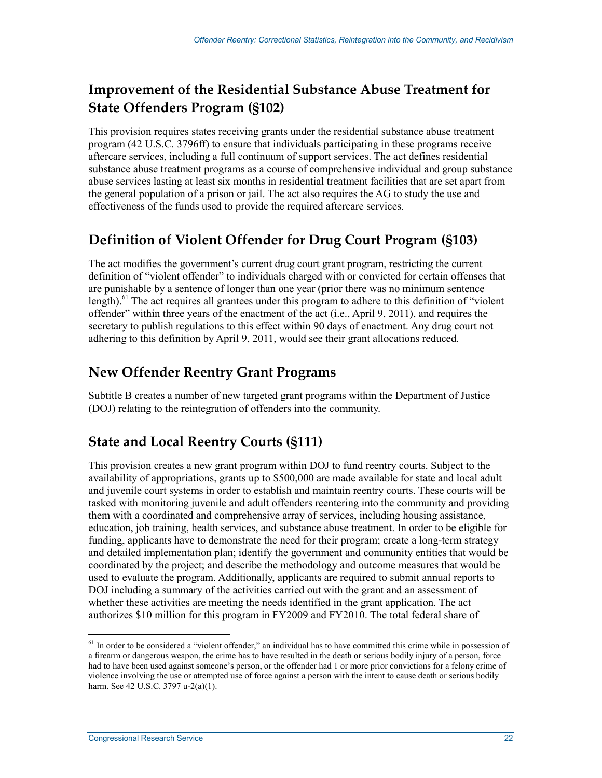### **Improvement of the Residential Substance Abuse Treatment for State Offenders Program (§102)**

This provision requires states receiving grants under the residential substance abuse treatment program (42 U.S.C. 3796ff) to ensure that individuals participating in these programs receive aftercare services, including a full continuum of support services. The act defines residential substance abuse treatment programs as a course of comprehensive individual and group substance abuse services lasting at least six months in residential treatment facilities that are set apart from the general population of a prison or jail. The act also requires the AG to study the use and effectiveness of the funds used to provide the required aftercare services.

### **Definition of Violent Offender for Drug Court Program (§103)**

The act modifies the government's current drug court grant program, restricting the current definition of "violent offender" to individuals charged with or convicted for certain offenses that are punishable by a sentence of longer than one year (prior there was no minimum sentence length).<sup>61</sup> The act requires all grantees under this program to adhere to this definition of "violent" offender" within three years of the enactment of the act (i.e., April 9, 2011), and requires the secretary to publish regulations to this effect within 90 days of enactment. Any drug court not adhering to this definition by April 9, 2011, would see their grant allocations reduced.

### **New Offender Reentry Grant Programs**

Subtitle B creates a number of new targeted grant programs within the Department of Justice (DOJ) relating to the reintegration of offenders into the community.

### **State and Local Reentry Courts (§111)**

This provision creates a new grant program within DOJ to fund reentry courts. Subject to the availability of appropriations, grants up to \$500,000 are made available for state and local adult and juvenile court systems in order to establish and maintain reentry courts. These courts will be tasked with monitoring juvenile and adult offenders reentering into the community and providing them with a coordinated and comprehensive array of services, including housing assistance, education, job training, health services, and substance abuse treatment. In order to be eligible for funding, applicants have to demonstrate the need for their program; create a long-term strategy and detailed implementation plan; identify the government and community entities that would be coordinated by the project; and describe the methodology and outcome measures that would be used to evaluate the program. Additionally, applicants are required to submit annual reports to DOJ including a summary of the activities carried out with the grant and an assessment of whether these activities are meeting the needs identified in the grant application. The act authorizes \$10 million for this program in FY2009 and FY2010. The total federal share of

<sup>&</sup>lt;sup>61</sup> In order to be considered a "violent offender," an individual has to have committed this crime while in possession of a firearm or dangerous weapon, the crime has to have resulted in the death or serious bodily injury of a person, force had to have been used against someone's person, or the offender had 1 or more prior convictions for a felony crime of violence involving the use or attempted use of force against a person with the intent to cause death or serious bodily harm. See 42 U.S.C. 3797 u-2(a)(1).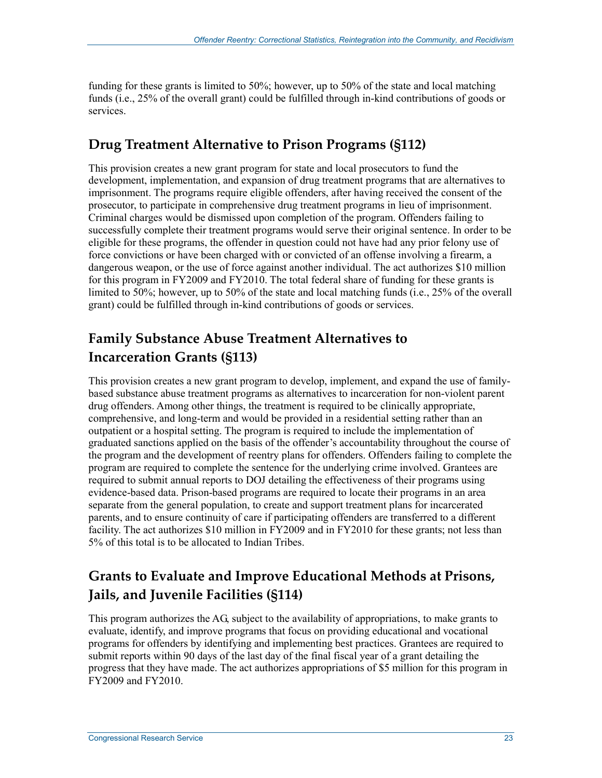funding for these grants is limited to 50%; however, up to 50% of the state and local matching funds (i.e., 25% of the overall grant) could be fulfilled through in-kind contributions of goods or services.

### **Drug Treatment Alternative to Prison Programs (§112)**

This provision creates a new grant program for state and local prosecutors to fund the development, implementation, and expansion of drug treatment programs that are alternatives to imprisonment. The programs require eligible offenders, after having received the consent of the prosecutor, to participate in comprehensive drug treatment programs in lieu of imprisonment. Criminal charges would be dismissed upon completion of the program. Offenders failing to successfully complete their treatment programs would serve their original sentence. In order to be eligible for these programs, the offender in question could not have had any prior felony use of force convictions or have been charged with or convicted of an offense involving a firearm, a dangerous weapon, or the use of force against another individual. The act authorizes \$10 million for this program in FY2009 and FY2010. The total federal share of funding for these grants is limited to 50%; however, up to 50% of the state and local matching funds (i.e., 25% of the overall grant) could be fulfilled through in-kind contributions of goods or services.

### **Family Substance Abuse Treatment Alternatives to Incarceration Grants (§113)**

This provision creates a new grant program to develop, implement, and expand the use of familybased substance abuse treatment programs as alternatives to incarceration for non-violent parent drug offenders. Among other things, the treatment is required to be clinically appropriate, comprehensive, and long-term and would be provided in a residential setting rather than an outpatient or a hospital setting. The program is required to include the implementation of graduated sanctions applied on the basis of the offender's accountability throughout the course of the program and the development of reentry plans for offenders. Offenders failing to complete the program are required to complete the sentence for the underlying crime involved. Grantees are required to submit annual reports to DOJ detailing the effectiveness of their programs using evidence-based data. Prison-based programs are required to locate their programs in an area separate from the general population, to create and support treatment plans for incarcerated parents, and to ensure continuity of care if participating offenders are transferred to a different facility. The act authorizes \$10 million in FY2009 and in FY2010 for these grants; not less than 5% of this total is to be allocated to Indian Tribes.

### **Grants to Evaluate and Improve Educational Methods at Prisons, Jails, and Juvenile Facilities (§114)**

This program authorizes the AG, subject to the availability of appropriations, to make grants to evaluate, identify, and improve programs that focus on providing educational and vocational programs for offenders by identifying and implementing best practices. Grantees are required to submit reports within 90 days of the last day of the final fiscal year of a grant detailing the progress that they have made. The act authorizes appropriations of \$5 million for this program in FY2009 and FY2010.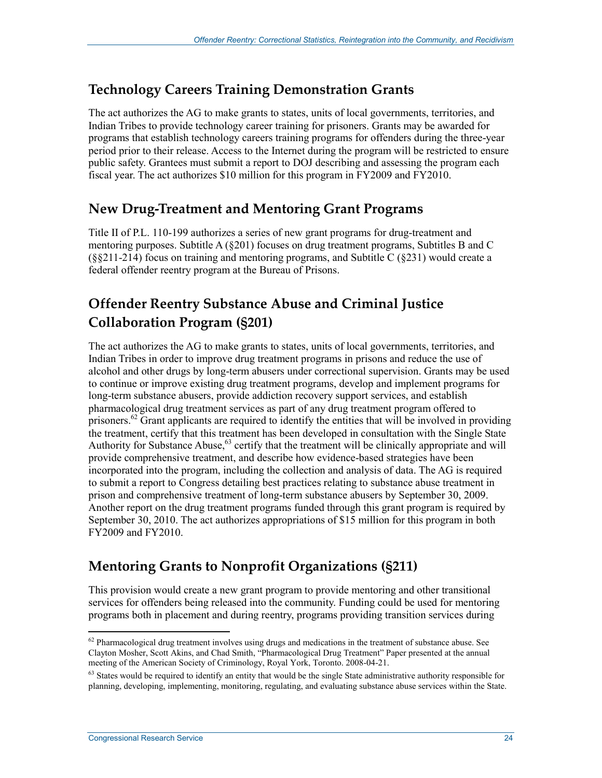#### **Technology Careers Training Demonstration Grants**

The act authorizes the AG to make grants to states, units of local governments, territories, and Indian Tribes to provide technology career training for prisoners. Grants may be awarded for programs that establish technology careers training programs for offenders during the three-year period prior to their release. Access to the Internet during the program will be restricted to ensure public safety. Grantees must submit a report to DOJ describing and assessing the program each fiscal year. The act authorizes \$10 million for this program in FY2009 and FY2010.

### **New Drug-Treatment and Mentoring Grant Programs**

Title II of P.L. 110-199 authorizes a series of new grant programs for drug-treatment and mentoring purposes. Subtitle  $A(8201)$  focuses on drug treatment programs, Subtitles B and C (§§211-214) focus on training and mentoring programs, and Subtitle C (§231) would create a federal offender reentry program at the Bureau of Prisons.

### **Offender Reentry Substance Abuse and Criminal Justice Collaboration Program (§201)**

The act authorizes the AG to make grants to states, units of local governments, territories, and Indian Tribes in order to improve drug treatment programs in prisons and reduce the use of alcohol and other drugs by long-term abusers under correctional supervision. Grants may be used to continue or improve existing drug treatment programs, develop and implement programs for long-term substance abusers, provide addiction recovery support services, and establish pharmacological drug treatment services as part of any drug treatment program offered to prisoners.<sup>62</sup> Grant applicants are required to identify the entities that will be involved in providing the treatment, certify that this treatment has been developed in consultation with the Single State Authority for Substance Abuse,<sup>63</sup> certify that the treatment will be clinically appropriate and will provide comprehensive treatment, and describe how evidence-based strategies have been incorporated into the program, including the collection and analysis of data. The AG is required to submit a report to Congress detailing best practices relating to substance abuse treatment in prison and comprehensive treatment of long-term substance abusers by September 30, 2009. Another report on the drug treatment programs funded through this grant program is required by September 30, 2010. The act authorizes appropriations of \$15 million for this program in both FY2009 and FY2010.

### **Mentoring Grants to Nonprofit Organizations (§211)**

This provision would create a new grant program to provide mentoring and other transitional services for offenders being released into the community. Funding could be used for mentoring programs both in placement and during reentry, programs providing transition services during

<sup>1</sup> <sup>62</sup> Pharmacological drug treatment involves using drugs and medications in the treatment of substance abuse. See Clayton Mosher, Scott Akins, and Chad Smith, "Pharmacological Drug Treatment" Paper presented at the annual meeting of the American Society of Criminology, Royal York, Toronto. 2008-04-21.

 $63$  States would be required to identify an entity that would be the single State administrative authority responsible for planning, developing, implementing, monitoring, regulating, and evaluating substance abuse services within the State.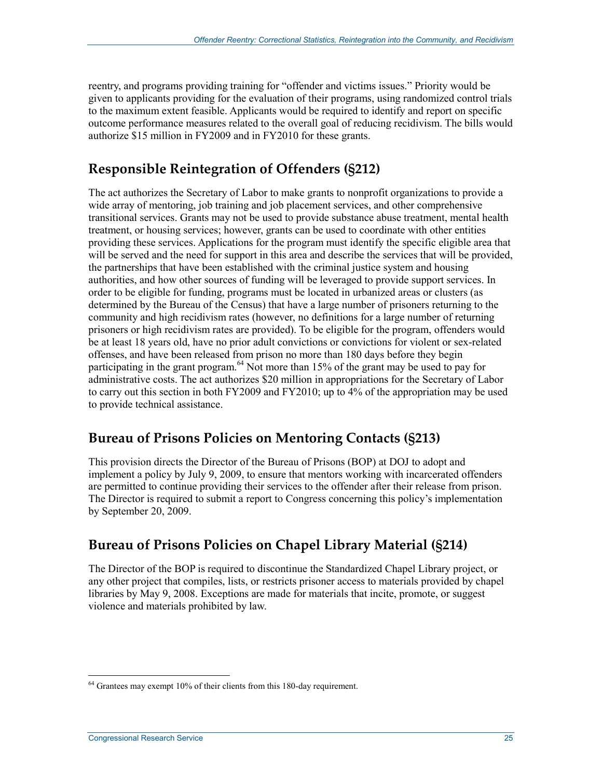reentry, and programs providing training for "offender and victims issues." Priority would be given to applicants providing for the evaluation of their programs, using randomized control trials to the maximum extent feasible. Applicants would be required to identify and report on specific outcome performance measures related to the overall goal of reducing recidivism. The bills would authorize \$15 million in FY2009 and in FY2010 for these grants.

### **Responsible Reintegration of Offenders (§212)**

The act authorizes the Secretary of Labor to make grants to nonprofit organizations to provide a wide array of mentoring, job training and job placement services, and other comprehensive transitional services. Grants may not be used to provide substance abuse treatment, mental health treatment, or housing services; however, grants can be used to coordinate with other entities providing these services. Applications for the program must identify the specific eligible area that will be served and the need for support in this area and describe the services that will be provided, the partnerships that have been established with the criminal justice system and housing authorities, and how other sources of funding will be leveraged to provide support services. In order to be eligible for funding, programs must be located in urbanized areas or clusters (as determined by the Bureau of the Census) that have a large number of prisoners returning to the community and high recidivism rates (however, no definitions for a large number of returning prisoners or high recidivism rates are provided). To be eligible for the program, offenders would be at least 18 years old, have no prior adult convictions or convictions for violent or sex-related offenses, and have been released from prison no more than 180 days before they begin participating in the grant program.<sup>64</sup> Not more than 15% of the grant may be used to pay for administrative costs. The act authorizes \$20 million in appropriations for the Secretary of Labor to carry out this section in both FY2009 and FY2010; up to 4% of the appropriation may be used to provide technical assistance.

### **Bureau of Prisons Policies on Mentoring Contacts (§213)**

This provision directs the Director of the Bureau of Prisons (BOP) at DOJ to adopt and implement a policy by July 9, 2009, to ensure that mentors working with incarcerated offenders are permitted to continue providing their services to the offender after their release from prison. The Director is required to submit a report to Congress concerning this policy's implementation by September 20, 2009.

### **Bureau of Prisons Policies on Chapel Library Material (§214)**

The Director of the BOP is required to discontinue the Standardized Chapel Library project, or any other project that compiles, lists, or restricts prisoner access to materials provided by chapel libraries by May 9, 2008. Exceptions are made for materials that incite, promote, or suggest violence and materials prohibited by law.

<u>.</u>

 $64$  Grantees may exempt 10% of their clients from this 180-day requirement.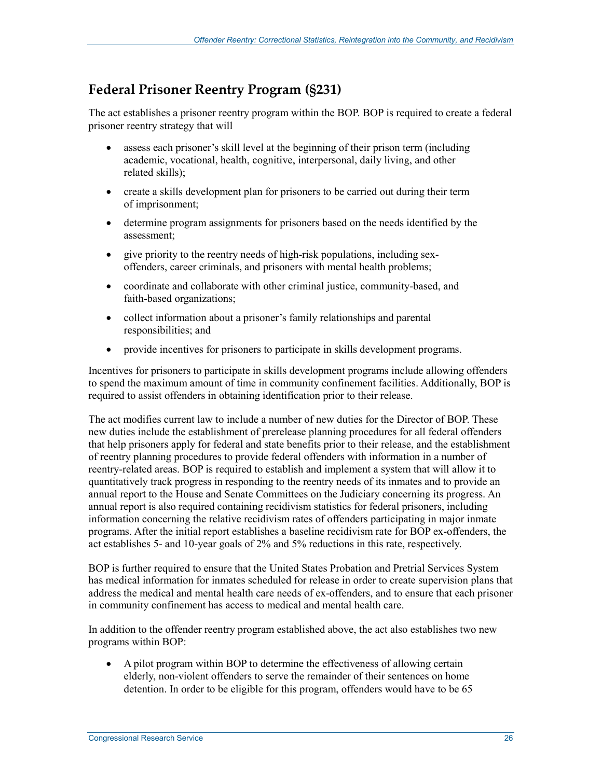### **Federal Prisoner Reentry Program (§231)**

The act establishes a prisoner reentry program within the BOP. BOP is required to create a federal prisoner reentry strategy that will

- assess each prisoner's skill level at the beginning of their prison term (including academic, vocational, health, cognitive, interpersonal, daily living, and other related skills);
- create a skills development plan for prisoners to be carried out during their term of imprisonment;
- determine program assignments for prisoners based on the needs identified by the assessment;
- give priority to the reentry needs of high-risk populations, including sexoffenders, career criminals, and prisoners with mental health problems;
- coordinate and collaborate with other criminal justice, community-based, and faith-based organizations;
- collect information about a prisoner's family relationships and parental responsibilities; and
- provide incentives for prisoners to participate in skills development programs.

Incentives for prisoners to participate in skills development programs include allowing offenders to spend the maximum amount of time in community confinement facilities. Additionally, BOP is required to assist offenders in obtaining identification prior to their release.

The act modifies current law to include a number of new duties for the Director of BOP. These new duties include the establishment of prerelease planning procedures for all federal offenders that help prisoners apply for federal and state benefits prior to their release, and the establishment of reentry planning procedures to provide federal offenders with information in a number of reentry-related areas. BOP is required to establish and implement a system that will allow it to quantitatively track progress in responding to the reentry needs of its inmates and to provide an annual report to the House and Senate Committees on the Judiciary concerning its progress. An annual report is also required containing recidivism statistics for federal prisoners, including information concerning the relative recidivism rates of offenders participating in major inmate programs. After the initial report establishes a baseline recidivism rate for BOP ex-offenders, the act establishes 5- and 10-year goals of 2% and 5% reductions in this rate, respectively.

BOP is further required to ensure that the United States Probation and Pretrial Services System has medical information for inmates scheduled for release in order to create supervision plans that address the medical and mental health care needs of ex-offenders, and to ensure that each prisoner in community confinement has access to medical and mental health care.

In addition to the offender reentry program established above, the act also establishes two new programs within BOP:

• A pilot program within BOP to determine the effectiveness of allowing certain elderly, non-violent offenders to serve the remainder of their sentences on home detention. In order to be eligible for this program, offenders would have to be 65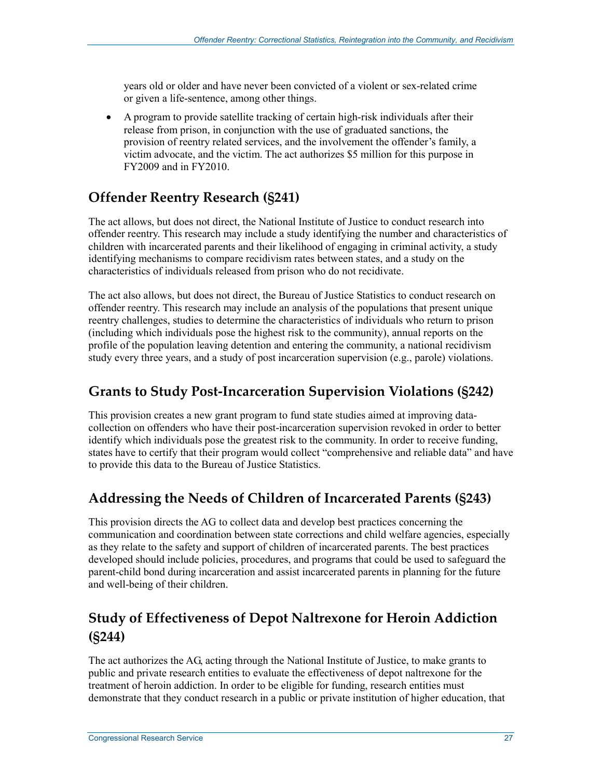years old or older and have never been convicted of a violent or sex-related crime or given a life-sentence, among other things.

• A program to provide satellite tracking of certain high-risk individuals after their release from prison, in conjunction with the use of graduated sanctions, the provision of reentry related services, and the involvement the offender's family, a victim advocate, and the victim. The act authorizes \$5 million for this purpose in FY2009 and in FY2010.

### **Offender Reentry Research (§241)**

The act allows, but does not direct, the National Institute of Justice to conduct research into offender reentry. This research may include a study identifying the number and characteristics of children with incarcerated parents and their likelihood of engaging in criminal activity, a study identifying mechanisms to compare recidivism rates between states, and a study on the characteristics of individuals released from prison who do not recidivate.

The act also allows, but does not direct, the Bureau of Justice Statistics to conduct research on offender reentry. This research may include an analysis of the populations that present unique reentry challenges, studies to determine the characteristics of individuals who return to prison (including which individuals pose the highest risk to the community), annual reports on the profile of the population leaving detention and entering the community, a national recidivism study every three years, and a study of post incarceration supervision (e.g., parole) violations.

#### **Grants to Study Post-Incarceration Supervision Violations (§242)**

This provision creates a new grant program to fund state studies aimed at improving datacollection on offenders who have their post-incarceration supervision revoked in order to better identify which individuals pose the greatest risk to the community. In order to receive funding, states have to certify that their program would collect "comprehensive and reliable data" and have to provide this data to the Bureau of Justice Statistics.

### **Addressing the Needs of Children of Incarcerated Parents (§243)**

This provision directs the AG to collect data and develop best practices concerning the communication and coordination between state corrections and child welfare agencies, especially as they relate to the safety and support of children of incarcerated parents. The best practices developed should include policies, procedures, and programs that could be used to safeguard the parent-child bond during incarceration and assist incarcerated parents in planning for the future and well-being of their children.

### **Study of Effectiveness of Depot Naltrexone for Heroin Addiction (§244)**

The act authorizes the AG, acting through the National Institute of Justice, to make grants to public and private research entities to evaluate the effectiveness of depot naltrexone for the treatment of heroin addiction. In order to be eligible for funding, research entities must demonstrate that they conduct research in a public or private institution of higher education, that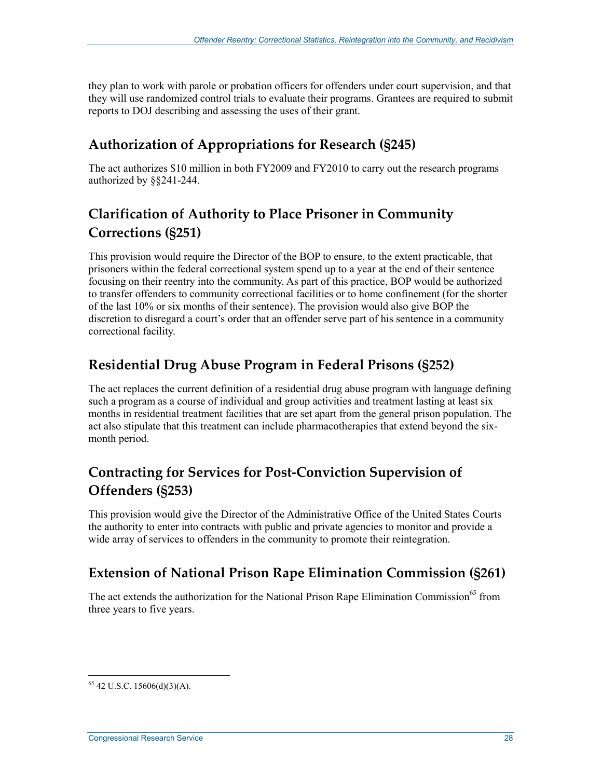they plan to work with parole or probation officers for offenders under court supervision, and that they will use randomized control trials to evaluate their programs. Grantees are required to submit reports to DOJ describing and assessing the uses of their grant.

### **Authorization of Appropriations for Research (§245)**

The act authorizes \$10 million in both FY2009 and FY2010 to carry out the research programs authorized by §§241-244.

### **Clarification of Authority to Place Prisoner in Community Corrections (§251)**

This provision would require the Director of the BOP to ensure, to the extent practicable, that prisoners within the federal correctional system spend up to a year at the end of their sentence focusing on their reentry into the community. As part of this practice, BOP would be authorized to transfer offenders to community correctional facilities or to home confinement (for the shorter of the last 10% or six months of their sentence). The provision would also give BOP the discretion to disregard a court's order that an offender serve part of his sentence in a community correctional facility.

#### **Residential Drug Abuse Program in Federal Prisons (§252)**

The act replaces the current definition of a residential drug abuse program with language defining such a program as a course of individual and group activities and treatment lasting at least six months in residential treatment facilities that are set apart from the general prison population. The act also stipulate that this treatment can include pharmacotherapies that extend beyond the sixmonth period.

### **Contracting for Services for Post-Conviction Supervision of Offenders (§253)**

This provision would give the Director of the Administrative Office of the United States Courts the authority to enter into contracts with public and private agencies to monitor and provide a wide array of services to offenders in the community to promote their reintegration.

#### **Extension of National Prison Rape Elimination Commission (§261)**

The act extends the authorization for the National Prison Rape Elimination Commission<sup>65</sup> from three years to five years.

<u>.</u>

 $65$  42 U.S.C. 15606(d)(3)(A).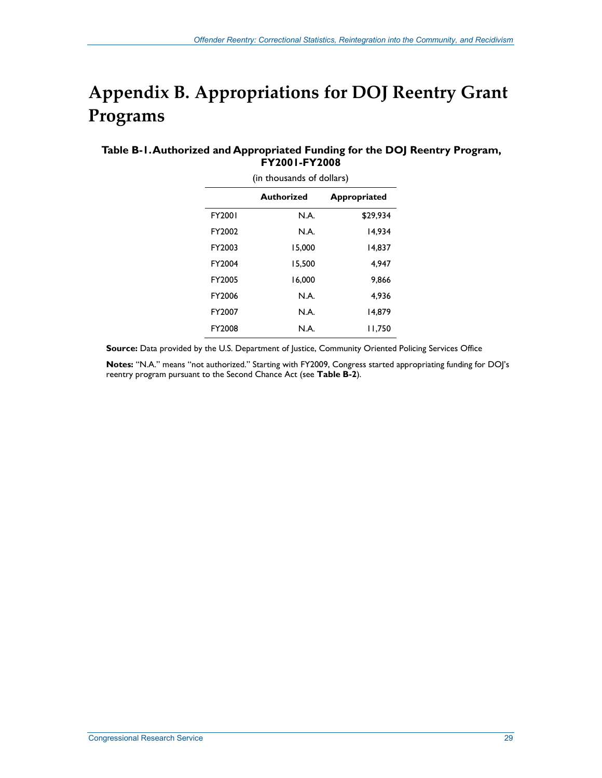## **Appendix B. Appropriations for DOJ Reentry Grant Programs**

#### **Table B-1. Authorized and Appropriated Funding for the DOJ Reentry Program, FY2001-FY2008**

| (in thousands of dollars)         |        |          |  |  |  |  |  |  |
|-----------------------------------|--------|----------|--|--|--|--|--|--|
| Authorized<br><b>Appropriated</b> |        |          |  |  |  |  |  |  |
| FY2001                            | N.A.   | \$29.934 |  |  |  |  |  |  |
| FY2002                            | N.A.   | 14.934   |  |  |  |  |  |  |
| FY2003                            | 15.000 | 14.837   |  |  |  |  |  |  |
| FY2004                            | 15.500 | 4.947    |  |  |  |  |  |  |
| FY2005                            | 16.000 | 9.866    |  |  |  |  |  |  |
| FY2006                            | N.A.   | 4.936    |  |  |  |  |  |  |
| FY2007                            | N.A.   | 14.879   |  |  |  |  |  |  |
| FY2008                            | N.A.   | 11,750   |  |  |  |  |  |  |

**Source:** Data provided by the U.S. Department of Justice, Community Oriented Policing Services Office

**Notes:** "N.A." means "not authorized." Starting with FY2009, Congress started appropriating funding for DOJ's reentry program pursuant to the Second Chance Act (see **Table B-2**).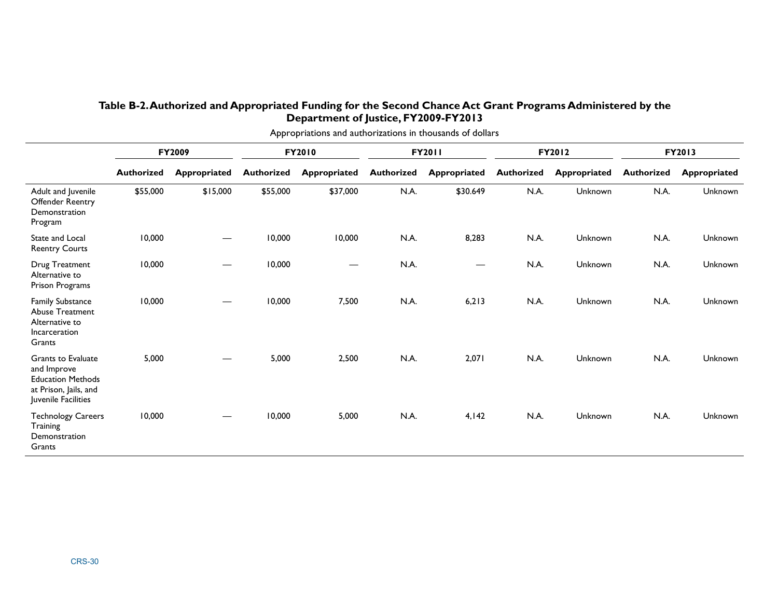#### **Table B-2. Authorized and Appropriated Funding for the Second Chance Act Grant Programs Administered by the Department of Justice, FY2009-FY2013**

| Appropriations and authorizations in thousands of dollars                                                            |                   |              |                   |                     |                   |              |                   |              |                   |                     |
|----------------------------------------------------------------------------------------------------------------------|-------------------|--------------|-------------------|---------------------|-------------------|--------------|-------------------|--------------|-------------------|---------------------|
|                                                                                                                      | <b>FY2009</b>     |              | FY2010            |                     | FY2011            |              | FY2012            |              | FY2013            |                     |
|                                                                                                                      | <b>Authorized</b> | Appropriated | <b>Authorized</b> | <b>Appropriated</b> | <b>Authorized</b> | Appropriated | <b>Authorized</b> | Appropriated | <b>Authorized</b> | <b>Appropriated</b> |
| Adult and Juvenile<br><b>Offender Reentry</b><br>Demonstration<br>Program                                            | \$55,000          | \$15,000     | \$55,000          | \$37,000            | N.A.              | \$30.649     | N.A.              | Unknown      | N.A.              | Unknown             |
| State and Local<br><b>Reentry Courts</b>                                                                             | 10,000            |              | 10,000            | 10,000              | N.A.              | 8,283        | N.A.              | Unknown      | N.A.              | Unknown             |
| Drug Treatment<br>Alternative to<br>Prison Programs                                                                  | 10,000            |              | 10,000            |                     | N.A.              | —            | N.A.              | Unknown      | N.A.              | Unknown             |
| <b>Family Substance</b><br>Abuse Treatment<br>Alternative to<br>Incarceration<br>Grants                              | 10,000            |              | 10,000            | 7,500               | N.A.              | 6,213        | N.A.              | Unknown      | N.A.              | Unknown             |
| <b>Grants to Evaluate</b><br>and Improve<br><b>Education Methods</b><br>at Prison, Jails, and<br>Juvenile Facilities | 5,000             |              | 5,000             | 2,500               | N.A.              | 2,071        | N.A.              | Unknown      | N.A.              | Unknown             |
| <b>Technology Careers</b><br>Training<br>Demonstration<br>Grants                                                     | 10,000            |              | 10,000            | 5,000               | N.A.              | 4,142        | N.A.              | Unknown      | N.A.              | Unknown             |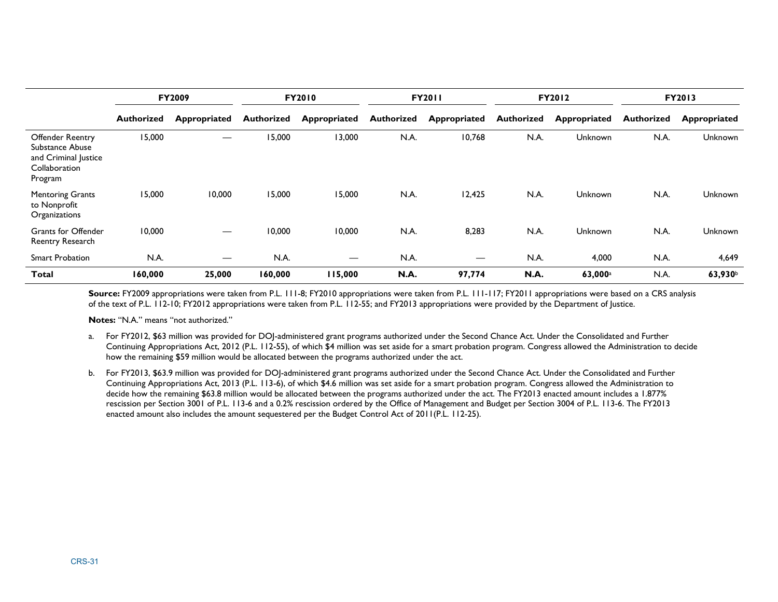|                                                                                                | <b>FY2009</b>     |                                  | <b>FY2010</b>     |                     | <b>FY2011</b>     |              | <b>FY2012</b>     |                | FY2013     |                |
|------------------------------------------------------------------------------------------------|-------------------|----------------------------------|-------------------|---------------------|-------------------|--------------|-------------------|----------------|------------|----------------|
|                                                                                                | <b>Authorized</b> | Appropriated                     | <b>Authorized</b> | <b>Appropriated</b> | <b>Authorized</b> | Appropriated | <b>Authorized</b> | Appropriated   | Authorized | Appropriated   |
| <b>Offender Reentry</b><br>Substance Abuse<br>and Criminal Justice<br>Collaboration<br>Program | 15,000            |                                  | 15,000            | 13,000              | N.A.              | 10,768       | N.A.              | Unknown        | N.A.       | <b>Unknown</b> |
| <b>Mentoring Grants</b><br>to Nonprofit<br>Organizations                                       | 15,000            | 10,000                           | 15,000            | 15,000              | N.A.              | 12,425       | N.A.              | Unknown        | N.A.       | <b>Unknown</b> |
| <b>Grants for Offender</b><br>Reentry Research                                                 | 10,000            |                                  | 10,000            | 10,000              | N.A.              | 8,283        | N.A.              | <b>Unknown</b> | N.A.       | <b>Unknown</b> |
| <b>Smart Probation</b>                                                                         | N.A.              | $\overbrace{\phantom{12322111}}$ | N.A.              | $\hspace{0.05cm}$   | N.A.              |              | N.A.              | 4,000          | N.A.       | 4,649          |
| Total                                                                                          | 160,000           | 25,000                           | 160,000           | 115,000             | N.A.              | 97,774       | N.A.              | 63,000a        | N.A.       | 63,930         |

Source: FY2009 appropriations were taken from P.L. 111-8; FY2010 appropriations were taken from P.L. 111-117; FY2011 appropriations were based on a CRS analysis of the text of P.L. 112-10; FY2012 appropriations were taken from P.L. 112-55; and FY2013 appropriations were provided by the Department of Justice.

**Notes:** "N.A." means "not authorized."

- a. For FY2012, \$63 million was provided for DOJ-administered grant programs authorized under the Second Chance Act. Under the Consolidated and Further Continuing Appropriations Act, 2012 (P.L. 112-55), of which \$4 million was set aside for a smart probation program. Congress allowed the Administration to decide how the remaining \$59 million would be allocated between the programs authorized under the act.
- b. For FY2013, \$63.9 million was provided for DOJ-administered grant programs authorized under the Second Chance Act. Under the Consolidated and Further Continuing Appropriations Act, 2013 (P.L. 113-6), of which \$4.6 million was set aside for a smart probation program. Congress allowed the Administration to decide how the remaining \$63.8 million would be allocated between the programs authorized under the act. The FY2013 enacted amount includes a 1.877% rescission per Section 3001 of P.L. 113-6 and a 0.2% rescission ordered by the Office of Management and Budget per Section 3004 of P.L. 113-6. The FY2013 enacted amount also includes the amount sequestered per the Budget Control Act of 2011(P.L. 112-25).